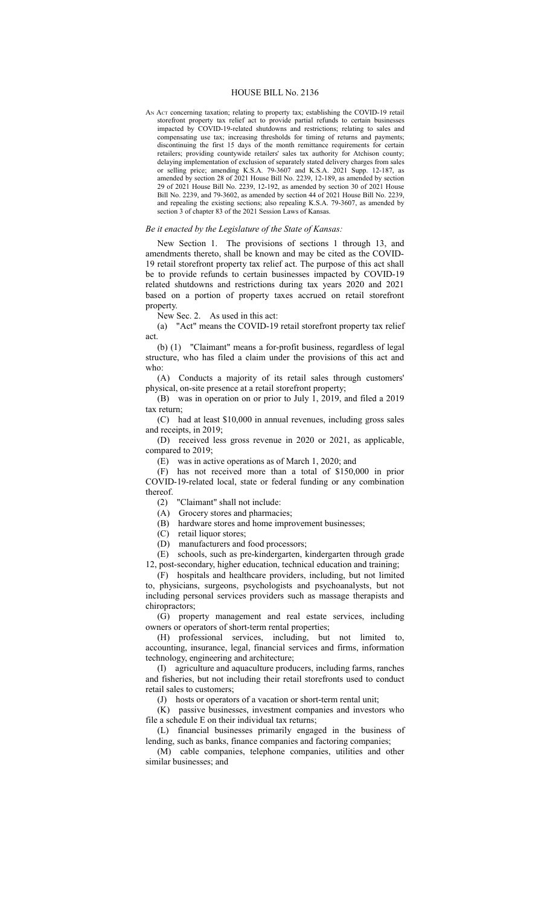## HOUSE BILL No. 2136

AN Act concerning taxation; relating to property tax; establishing the COVID-19 retail storefront property tax relief act to provide partial refunds to certain businesses impacted by COVID-19-related shutdowns and restrictions; relating to sales and compensating use tax; increasing thresholds for timing of returns and payments; discontinuing the first 15 days of the month remittance requirements for certain retailers; providing countywide retailers' sales tax authority for Atchison county; delaying implementation of exclusion of separately stated delivery charges from sales or selling price; amending K.S.A. 79-3607 and K.S.A. 2021 Supp. 12-187, as amended by section 28 of 2021 House Bill No. 2239, 12-189, as amended by section 29 of 2021 House Bill No. 2239, 12-192, as amended by section 30 of 2021 House Bill No. 2239, and 79-3602, as amended by section 44 of 2021 House Bill No. 2239, and repealing the existing sections; also repealing K.S.A. 79-3607, as amended by section 3 of chapter 83 of the 2021 Session Laws of Kansas.

## *Be it enacted by the Legislature of the State of Kansas:*

New Section 1. The provisions of sections 1 through 13, and amendments thereto, shall be known and may be cited as the COVID-19 retail storefront property tax relief act. The purpose of this act shall be to provide refunds to certain businesses impacted by COVID-19 related shutdowns and restrictions during tax years 2020 and 2021 based on a portion of property taxes accrued on retail storefront property.

New Sec. 2. As used in this act:

(a) "Act" means the COVID-19 retail storefront property tax relief act.

(b) (1) "Claimant" means a for-profit business, regardless of legal structure, who has filed a claim under the provisions of this act and who:

(A) Conducts a majority of its retail sales through customers' physical, on-site presence at a retail storefront property;

(B) was in operation on or prior to July 1, 2019, and filed a 2019 tax return;

(C) had at least \$10,000 in annual revenues, including gross sales and receipts, in 2019;

(D) received less gross revenue in 2020 or 2021, as applicable, compared to 2019;

(E) was in active operations as of March 1, 2020; and

(F) has not received more than a total of \$150,000 in prior COVID-19-related local, state or federal funding or any combination thereof.

(2) "Claimant" shall not include:

(A) Grocery stores and pharmacies;

(B) hardware stores and home improvement businesses;

(C) retail liquor stores;

(D) manufacturers and food processors;

(E) schools, such as pre-kindergarten, kindergarten through grade 12, post-secondary, higher education, technical education and training;

(F) hospitals and healthcare providers, including, but not limited to, physicians, surgeons, psychologists and psychoanalysts, but not including personal services providers such as massage therapists and chiropractors;

(G) property management and real estate services, including owners or operators of short-term rental properties;

(H) professional services, including, but not limited to, accounting, insurance, legal, financial services and firms, information technology, engineering and architecture;

(I) agriculture and aquaculture producers, including farms, ranches and fisheries, but not including their retail storefronts used to conduct retail sales to customers;

(J) hosts or operators of a vacation or short-term rental unit;

(K) passive businesses, investment companies and investors who file a schedule E on their individual tax returns;

(L) financial businesses primarily engaged in the business of lending, such as banks, finance companies and factoring companies;

(M) cable companies, telephone companies, utilities and other similar businesses; and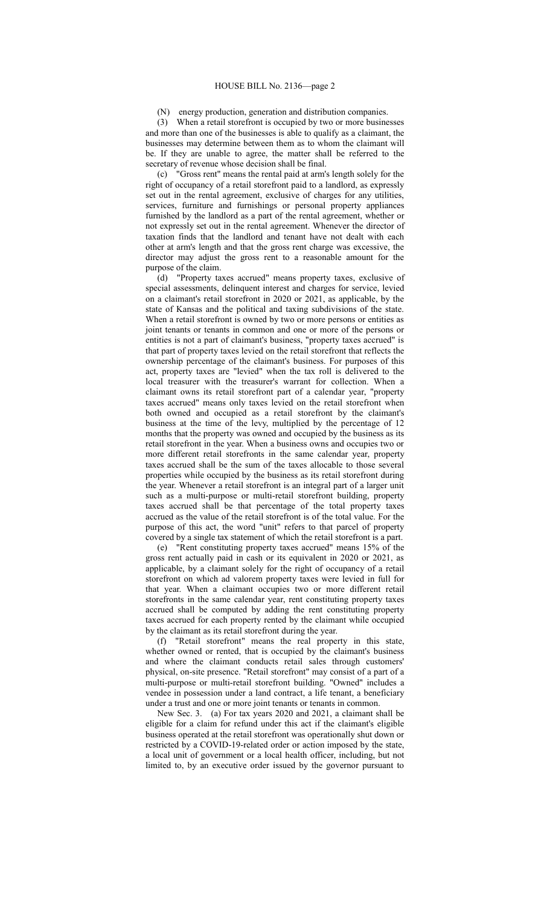(N) energy production, generation and distribution companies.

(3) When a retail storefront is occupied by two or more businesses and more than one of the businesses is able to qualify as a claimant, the businesses may determine between them as to whom the claimant will be. If they are unable to agree, the matter shall be referred to the secretary of revenue whose decision shall be final.

(c) "Gross rent" means the rental paid at arm's length solely for the right of occupancy of a retail storefront paid to a landlord, as expressly set out in the rental agreement, exclusive of charges for any utilities, services, furniture and furnishings or personal property appliances furnished by the landlord as a part of the rental agreement, whether or not expressly set out in the rental agreement. Whenever the director of taxation finds that the landlord and tenant have not dealt with each other at arm's length and that the gross rent charge was excessive, the director may adjust the gross rent to a reasonable amount for the purpose of the claim.

(d) "Property taxes accrued" means property taxes, exclusive of special assessments, delinquent interest and charges for service, levied on a claimant's retail storefront in 2020 or 2021, as applicable, by the state of Kansas and the political and taxing subdivisions of the state. When a retail storefront is owned by two or more persons or entities as joint tenants or tenants in common and one or more of the persons or entities is not a part of claimant's business, "property taxes accrued" is that part of property taxes levied on the retail storefront that reflects the ownership percentage of the claimant's business. For purposes of this act, property taxes are "levied" when the tax roll is delivered to the local treasurer with the treasurer's warrant for collection. When a claimant owns its retail storefront part of a calendar year, "property taxes accrued" means only taxes levied on the retail storefront when both owned and occupied as a retail storefront by the claimant's business at the time of the levy, multiplied by the percentage of 12 months that the property was owned and occupied by the business as its retail storefront in the year. When a business owns and occupies two or more different retail storefronts in the same calendar year, property taxes accrued shall be the sum of the taxes allocable to those several properties while occupied by the business as its retail storefront during the year. Whenever a retail storefront is an integral part of a larger unit such as a multi-purpose or multi-retail storefront building, property taxes accrued shall be that percentage of the total property taxes accrued as the value of the retail storefront is of the total value. For the purpose of this act, the word "unit" refers to that parcel of property covered by a single tax statement of which the retail storefront is a part.

(e) "Rent constituting property taxes accrued" means 15% of the gross rent actually paid in cash or its equivalent in 2020 or 2021, as applicable, by a claimant solely for the right of occupancy of a retail storefront on which ad valorem property taxes were levied in full for that year. When a claimant occupies two or more different retail storefronts in the same calendar year, rent constituting property taxes accrued shall be computed by adding the rent constituting property taxes accrued for each property rented by the claimant while occupied by the claimant as its retail storefront during the year.

(f) "Retail storefront" means the real property in this state, whether owned or rented, that is occupied by the claimant's business and where the claimant conducts retail sales through customers' physical, on-site presence. "Retail storefront" may consist of a part of a multi-purpose or multi-retail storefront building. "Owned" includes a vendee in possession under a land contract, a life tenant, a beneficiary under a trust and one or more joint tenants or tenants in common.

New Sec. 3. (a) For tax years 2020 and 2021, a claimant shall be eligible for a claim for refund under this act if the claimant's eligible business operated at the retail storefront was operationally shut down or restricted by a COVID-19-related order or action imposed by the state, a local unit of government or a local health officer, including, but not limited to, by an executive order issued by the governor pursuant to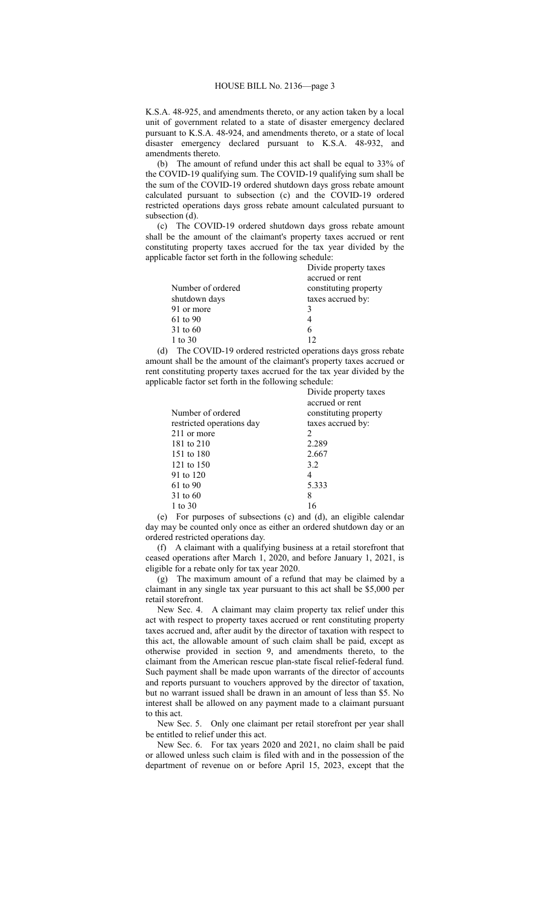K.S.A. 48-925, and amendments thereto, or any action taken by a local unit of government related to a state of disaster emergency declared pursuant to K.S.A. 48-924, and amendments thereto, or a state of local disaster emergency declared pursuant to K.S.A. 48-932, and amendments thereto.

(b) The amount of refund under this act shall be equal to 33% of the COVID-19 qualifying sum. The COVID-19 qualifying sum shall be the sum of the COVID-19 ordered shutdown days gross rebate amount calculated pursuant to subsection (c) and the COVID-19 ordered restricted operations days gross rebate amount calculated pursuant to subsection (d).

(c) The COVID-19 ordered shutdown days gross rebate amount shall be the amount of the claimant's property taxes accrued or rent constituting property taxes accrued for the tax year divided by the applicable factor set forth in the following schedule:

| Divide property taxes |
|-----------------------|
| accrued or rent       |
| constituting property |
| taxes accrued by:     |
| 3                     |
| 4                     |
| 6                     |
| 12                    |
|                       |

(d) The COVID-19 ordered restricted operations days gross rebate amount shall be the amount of the claimant's property taxes accrued or rent constituting property taxes accrued for the tax year divided by the applicable factor set forth in the following schedule:

| Divide property taxes<br>accrued or rent |
|------------------------------------------|
| constituting property                    |
| taxes accrued by:                        |
| 2                                        |
| 2.289                                    |
| 2.667                                    |
| 3.2                                      |
| 4                                        |
| 5.333                                    |
| 8                                        |
| 16                                       |
|                                          |

(e) For purposes of subsections (c) and (d), an eligible calendar day may be counted only once as either an ordered shutdown day or an ordered restricted operations day.

(f) A claimant with a qualifying business at a retail storefront that ceased operations after March 1, 2020, and before January 1, 2021, is eligible for a rebate only for tax year 2020.

(g) The maximum amount of a refund that may be claimed by a claimant in any single tax year pursuant to this act shall be \$5,000 per retail storefront.

New Sec. 4. A claimant may claim property tax relief under this act with respect to property taxes accrued or rent constituting property taxes accrued and, after audit by the director of taxation with respect to this act, the allowable amount of such claim shall be paid, except as otherwise provided in section 9, and amendments thereto, to the claimant from the American rescue plan-state fiscal relief-federal fund. Such payment shall be made upon warrants of the director of accounts and reports pursuant to vouchers approved by the director of taxation, but no warrant issued shall be drawn in an amount of less than \$5. No interest shall be allowed on any payment made to a claimant pursuant to this act.

New Sec. 5. Only one claimant per retail storefront per year shall be entitled to relief under this act.

New Sec. 6. For tax years 2020 and 2021, no claim shall be paid or allowed unless such claim is filed with and in the possession of the department of revenue on or before April 15, 2023, except that the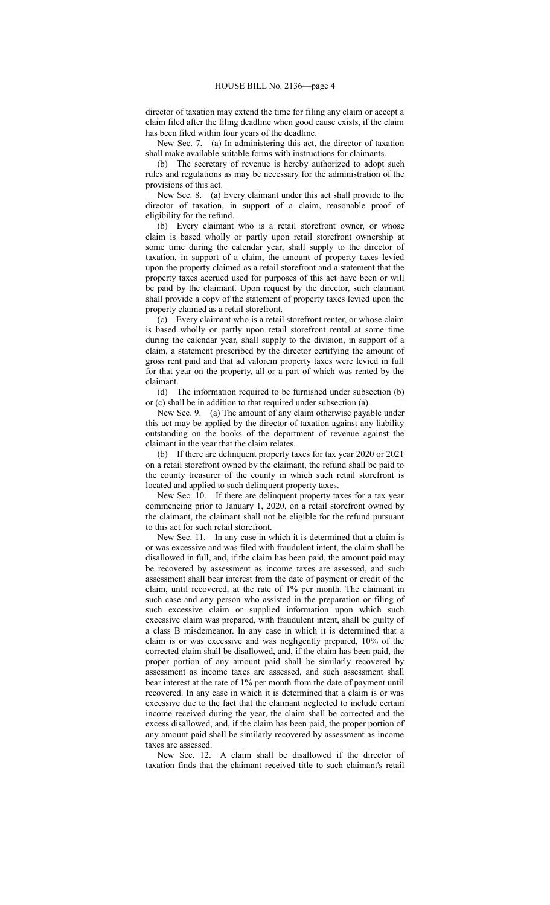director of taxation may extend the time for filing any claim or accept a claim filed after the filing deadline when good cause exists, if the claim has been filed within four years of the deadline.

New Sec. 7. (a) In administering this act, the director of taxation shall make available suitable forms with instructions for claimants.

(b) The secretary of revenue is hereby authorized to adopt such rules and regulations as may be necessary for the administration of the provisions of this act.

New Sec. 8. (a) Every claimant under this act shall provide to the director of taxation, in support of a claim, reasonable proof of eligibility for the refund.

(b) Every claimant who is a retail storefront owner, or whose claim is based wholly or partly upon retail storefront ownership at some time during the calendar year, shall supply to the director of taxation, in support of a claim, the amount of property taxes levied upon the property claimed as a retail storefront and a statement that the property taxes accrued used for purposes of this act have been or will be paid by the claimant. Upon request by the director, such claimant shall provide a copy of the statement of property taxes levied upon the property claimed as a retail storefront.

(c) Every claimant who is a retail storefront renter, or whose claim is based wholly or partly upon retail storefront rental at some time during the calendar year, shall supply to the division, in support of a claim, a statement prescribed by the director certifying the amount of gross rent paid and that ad valorem property taxes were levied in full for that year on the property, all or a part of which was rented by the claimant.

(d) The information required to be furnished under subsection (b) or (c) shall be in addition to that required under subsection (a).

New Sec. 9. (a) The amount of any claim otherwise payable under this act may be applied by the director of taxation against any liability outstanding on the books of the department of revenue against the claimant in the year that the claim relates.

(b) If there are delinquent property taxes for tax year 2020 or 2021 on a retail storefront owned by the claimant, the refund shall be paid to the county treasurer of the county in which such retail storefront is located and applied to such delinquent property taxes.

New Sec. 10. If there are delinquent property taxes for a tax year commencing prior to January 1, 2020, on a retail storefront owned by the claimant, the claimant shall not be eligible for the refund pursuant to this act for such retail storefront.

New Sec. 11. In any case in which it is determined that a claim is or was excessive and was filed with fraudulent intent, the claim shall be disallowed in full, and, if the claim has been paid, the amount paid may be recovered by assessment as income taxes are assessed, and such assessment shall bear interest from the date of payment or credit of the claim, until recovered, at the rate of 1% per month. The claimant in such case and any person who assisted in the preparation or filing of such excessive claim or supplied information upon which such excessive claim was prepared, with fraudulent intent, shall be guilty of a class B misdemeanor. In any case in which it is determined that a claim is or was excessive and was negligently prepared, 10% of the corrected claim shall be disallowed, and, if the claim has been paid, the proper portion of any amount paid shall be similarly recovered by assessment as income taxes are assessed, and such assessment shall bear interest at the rate of 1% per month from the date of payment until recovered. In any case in which it is determined that a claim is or was excessive due to the fact that the claimant neglected to include certain income received during the year, the claim shall be corrected and the excess disallowed, and, if the claim has been paid, the proper portion of any amount paid shall be similarly recovered by assessment as income taxes are assessed.

New Sec. 12. A claim shall be disallowed if the director of taxation finds that the claimant received title to such claimant's retail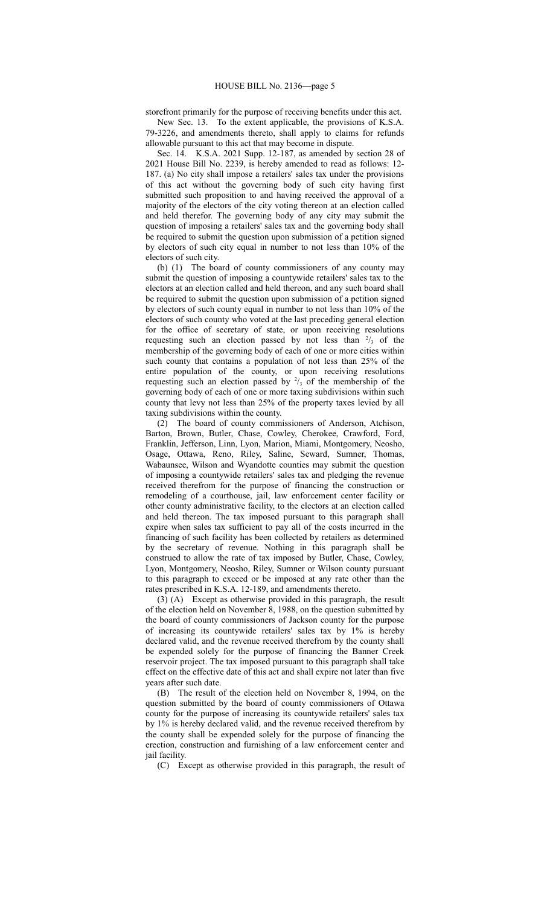storefront primarily for the purpose of receiving benefits under this act. New Sec. 13. To the extent applicable, the provisions of K.S.A.

79-3226, and amendments thereto, shall apply to claims for refunds allowable pursuant to this act that may become in dispute.

Sec. 14. K.S.A. 2021 Supp. 12-187, as amended by section 28 of 2021 House Bill No. 2239, is hereby amended to read as follows: 12- 187. (a) No city shall impose a retailers' sales tax under the provisions of this act without the governing body of such city having first submitted such proposition to and having received the approval of a majority of the electors of the city voting thereon at an election called and held therefor. The governing body of any city may submit the question of imposing a retailers' sales tax and the governing body shall be required to submit the question upon submission of a petition signed by electors of such city equal in number to not less than 10% of the electors of such city.

(b) (1) The board of county commissioners of any county may submit the question of imposing a countywide retailers' sales tax to the electors at an election called and held thereon, and any such board shall be required to submit the question upon submission of a petition signed by electors of such county equal in number to not less than 10% of the electors of such county who voted at the last preceding general election for the office of secretary of state, or upon receiving resolutions requesting such an election passed by not less than  $\frac{2}{3}$  of the membership of the governing body of each of one or more cities within such county that contains a population of not less than 25% of the entire population of the county, or upon receiving resolutions requesting such an election passed by  $\frac{2}{3}$  of the membership of the governing body of each of one or more taxing subdivisions within such county that levy not less than 25% of the property taxes levied by all taxing subdivisions within the county.

(2) The board of county commissioners of Anderson, Atchison, Barton, Brown, Butler, Chase, Cowley, Cherokee, Crawford, Ford, Franklin, Jefferson, Linn, Lyon, Marion, Miami, Montgomery, Neosho, Osage, Ottawa, Reno, Riley, Saline, Seward, Sumner, Thomas, Wabaunsee, Wilson and Wyandotte counties may submit the question of imposing a countywide retailers' sales tax and pledging the revenue received therefrom for the purpose of financing the construction or remodeling of a courthouse, jail, law enforcement center facility or other county administrative facility, to the electors at an election called and held thereon. The tax imposed pursuant to this paragraph shall expire when sales tax sufficient to pay all of the costs incurred in the financing of such facility has been collected by retailers as determined by the secretary of revenue. Nothing in this paragraph shall be construed to allow the rate of tax imposed by Butler, Chase, Cowley, Lyon, Montgomery, Neosho, Riley, Sumner or Wilson county pursuant to this paragraph to exceed or be imposed at any rate other than the rates prescribed in K.S.A. 12-189, and amendments thereto.

(3) (A) Except as otherwise provided in this paragraph, the result of the election held on November 8, 1988, on the question submitted by the board of county commissioners of Jackson county for the purpose of increasing its countywide retailers' sales tax by 1% is hereby declared valid, and the revenue received therefrom by the county shall be expended solely for the purpose of financing the Banner Creek reservoir project. The tax imposed pursuant to this paragraph shall take effect on the effective date of this act and shall expire not later than five years after such date.

(B) The result of the election held on November 8, 1994, on the question submitted by the board of county commissioners of Ottawa county for the purpose of increasing its countywide retailers' sales tax by 1% is hereby declared valid, and the revenue received therefrom by the county shall be expended solely for the purpose of financing the erection, construction and furnishing of a law enforcement center and jail facility.

(C) Except as otherwise provided in this paragraph, the result of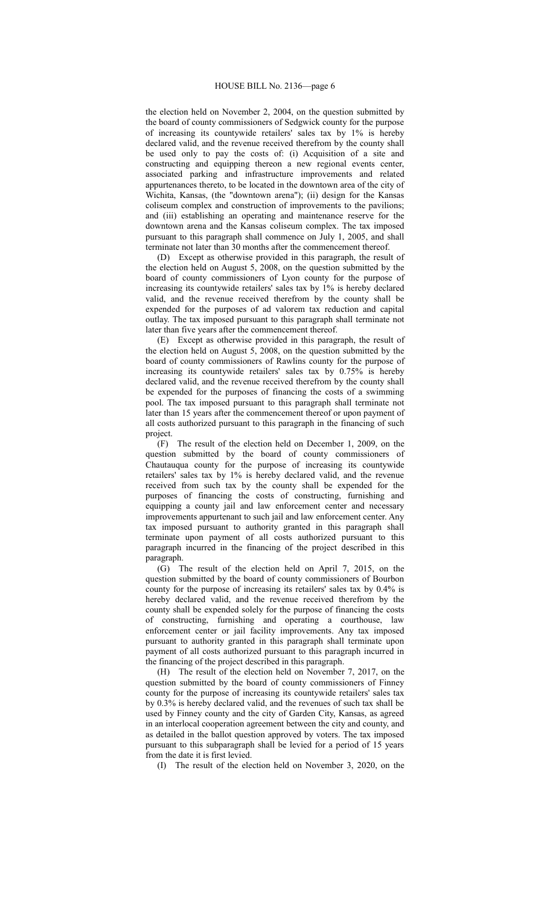the election held on November 2, 2004, on the question submitted by the board of county commissioners of Sedgwick county for the purpose of increasing its countywide retailers' sales tax by 1% is hereby declared valid, and the revenue received therefrom by the county shall be used only to pay the costs of: (i) Acquisition of a site and constructing and equipping thereon a new regional events center, associated parking and infrastructure improvements and related appurtenances thereto, to be located in the downtown area of the city of Wichita, Kansas, (the "downtown arena"); (ii) design for the Kansas coliseum complex and construction of improvements to the pavilions; and (iii) establishing an operating and maintenance reserve for the downtown arena and the Kansas coliseum complex. The tax imposed pursuant to this paragraph shall commence on July 1, 2005, and shall terminate not later than 30 months after the commencement thereof.

(D) Except as otherwise provided in this paragraph, the result of the election held on August 5, 2008, on the question submitted by the board of county commissioners of Lyon county for the purpose of increasing its countywide retailers' sales tax by 1% is hereby declared valid, and the revenue received therefrom by the county shall be expended for the purposes of ad valorem tax reduction and capital outlay. The tax imposed pursuant to this paragraph shall terminate not later than five years after the commencement thereof.

(E) Except as otherwise provided in this paragraph, the result of the election held on August 5, 2008, on the question submitted by the board of county commissioners of Rawlins county for the purpose of increasing its countywide retailers' sales tax by 0.75% is hereby declared valid, and the revenue received therefrom by the county shall be expended for the purposes of financing the costs of a swimming pool. The tax imposed pursuant to this paragraph shall terminate not later than 15 years after the commencement thereof or upon payment of all costs authorized pursuant to this paragraph in the financing of such project.

(F) The result of the election held on December 1, 2009, on the question submitted by the board of county commissioners of Chautauqua county for the purpose of increasing its countywide retailers' sales tax by 1% is hereby declared valid, and the revenue received from such tax by the county shall be expended for the purposes of financing the costs of constructing, furnishing and equipping a county jail and law enforcement center and necessary improvements appurtenant to such jail and law enforcement center. Any tax imposed pursuant to authority granted in this paragraph shall terminate upon payment of all costs authorized pursuant to this paragraph incurred in the financing of the project described in this paragraph.

(G) The result of the election held on April 7, 2015, on the question submitted by the board of county commissioners of Bourbon county for the purpose of increasing its retailers' sales tax by 0.4% is hereby declared valid, and the revenue received therefrom by the county shall be expended solely for the purpose of financing the costs of constructing, furnishing and operating a courthouse, law enforcement center or jail facility improvements. Any tax imposed pursuant to authority granted in this paragraph shall terminate upon payment of all costs authorized pursuant to this paragraph incurred in the financing of the project described in this paragraph.

(H) The result of the election held on November 7, 2017, on the question submitted by the board of county commissioners of Finney county for the purpose of increasing its countywide retailers' sales tax by 0.3% is hereby declared valid, and the revenues of such tax shall be used by Finney county and the city of Garden City, Kansas, as agreed in an interlocal cooperation agreement between the city and county, and as detailed in the ballot question approved by voters. The tax imposed pursuant to this subparagraph shall be levied for a period of 15 years from the date it is first levied.

(I) The result of the election held on November 3, 2020, on the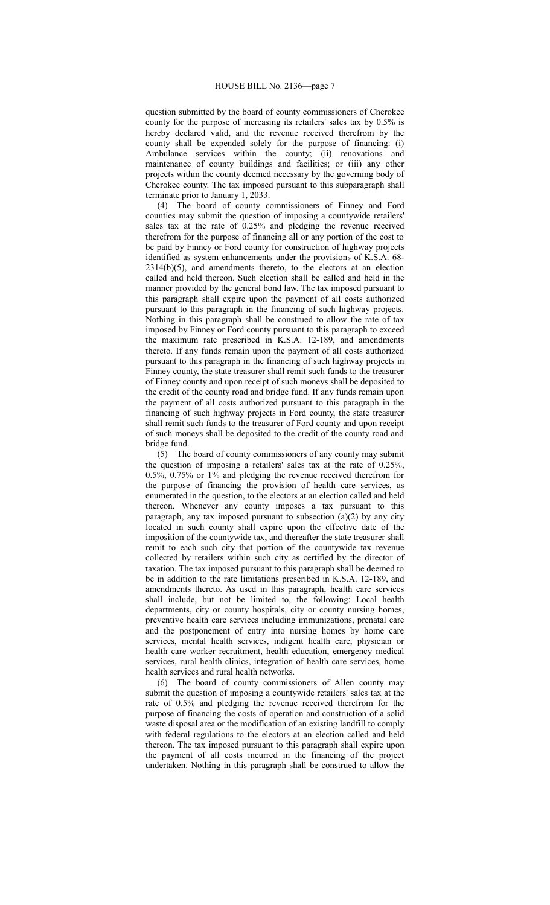question submitted by the board of county commissioners of Cherokee county for the purpose of increasing its retailers' sales tax by 0.5% is hereby declared valid, and the revenue received therefrom by the county shall be expended solely for the purpose of financing: (i) Ambulance services within the county; (ii) renovations and maintenance of county buildings and facilities; or (iii) any other projects within the county deemed necessary by the governing body of Cherokee county. The tax imposed pursuant to this subparagraph shall terminate prior to January 1, 2033.

(4) The board of county commissioners of Finney and Ford counties may submit the question of imposing a countywide retailers' sales tax at the rate of 0.25% and pledging the revenue received therefrom for the purpose of financing all or any portion of the cost to be paid by Finney or Ford county for construction of highway projects identified as system enhancements under the provisions of K.S.A. 68- 2314(b)(5), and amendments thereto, to the electors at an election called and held thereon. Such election shall be called and held in the manner provided by the general bond law. The tax imposed pursuant to this paragraph shall expire upon the payment of all costs authorized pursuant to this paragraph in the financing of such highway projects. Nothing in this paragraph shall be construed to allow the rate of tax imposed by Finney or Ford county pursuant to this paragraph to exceed the maximum rate prescribed in K.S.A. 12-189, and amendments thereto. If any funds remain upon the payment of all costs authorized pursuant to this paragraph in the financing of such highway projects in Finney county, the state treasurer shall remit such funds to the treasurer of Finney county and upon receipt of such moneys shall be deposited to the credit of the county road and bridge fund. If any funds remain upon the payment of all costs authorized pursuant to this paragraph in the financing of such highway projects in Ford county, the state treasurer shall remit such funds to the treasurer of Ford county and upon receipt of such moneys shall be deposited to the credit of the county road and bridge fund.

(5) The board of county commissioners of any county may submit the question of imposing a retailers' sales tax at the rate of 0.25%, 0.5%, 0.75% or 1% and pledging the revenue received therefrom for the purpose of financing the provision of health care services, as enumerated in the question, to the electors at an election called and held thereon. Whenever any county imposes a tax pursuant to this paragraph, any tax imposed pursuant to subsection  $(a)(2)$  by any city located in such county shall expire upon the effective date of the imposition of the countywide tax, and thereafter the state treasurer shall remit to each such city that portion of the countywide tax revenue collected by retailers within such city as certified by the director of taxation. The tax imposed pursuant to this paragraph shall be deemed to be in addition to the rate limitations prescribed in K.S.A. 12-189, and amendments thereto. As used in this paragraph, health care services shall include, but not be limited to, the following: Local health departments, city or county hospitals, city or county nursing homes, preventive health care services including immunizations, prenatal care and the postponement of entry into nursing homes by home care services, mental health services, indigent health care, physician or health care worker recruitment, health education, emergency medical services, rural health clinics, integration of health care services, home health services and rural health networks.

(6) The board of county commissioners of Allen county may submit the question of imposing a countywide retailers' sales tax at the rate of 0.5% and pledging the revenue received therefrom for the purpose of financing the costs of operation and construction of a solid waste disposal area or the modification of an existing landfill to comply with federal regulations to the electors at an election called and held thereon. The tax imposed pursuant to this paragraph shall expire upon the payment of all costs incurred in the financing of the project undertaken. Nothing in this paragraph shall be construed to allow the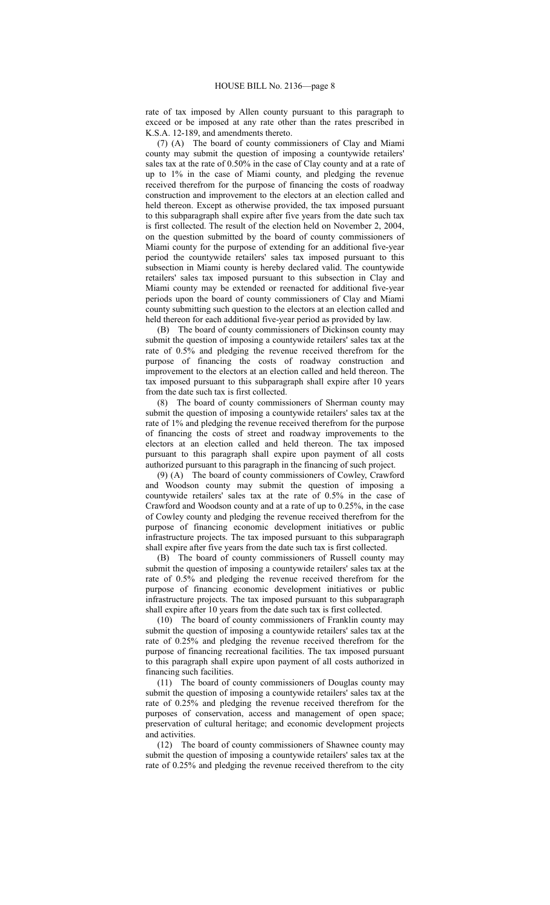rate of tax imposed by Allen county pursuant to this paragraph to exceed or be imposed at any rate other than the rates prescribed in K.S.A. 12-189, and amendments thereto.

(7) (A) The board of county commissioners of Clay and Miami county may submit the question of imposing a countywide retailers' sales tax at the rate of 0.50% in the case of Clay county and at a rate of up to 1% in the case of Miami county, and pledging the revenue received therefrom for the purpose of financing the costs of roadway construction and improvement to the electors at an election called and held thereon. Except as otherwise provided, the tax imposed pursuant to this subparagraph shall expire after five years from the date such tax is first collected. The result of the election held on November 2, 2004, on the question submitted by the board of county commissioners of Miami county for the purpose of extending for an additional five-year period the countywide retailers' sales tax imposed pursuant to this subsection in Miami county is hereby declared valid. The countywide retailers' sales tax imposed pursuant to this subsection in Clay and Miami county may be extended or reenacted for additional five-year periods upon the board of county commissioners of Clay and Miami county submitting such question to the electors at an election called and held thereon for each additional five-year period as provided by law.

(B) The board of county commissioners of Dickinson county may submit the question of imposing a countywide retailers' sales tax at the rate of 0.5% and pledging the revenue received therefrom for the purpose of financing the costs of roadway construction and improvement to the electors at an election called and held thereon. The tax imposed pursuant to this subparagraph shall expire after 10 years from the date such tax is first collected.

(8) The board of county commissioners of Sherman county may submit the question of imposing a countywide retailers' sales tax at the rate of 1% and pledging the revenue received therefrom for the purpose of financing the costs of street and roadway improvements to the electors at an election called and held thereon. The tax imposed pursuant to this paragraph shall expire upon payment of all costs authorized pursuant to this paragraph in the financing of such project.

(9) (A) The board of county commissioners of Cowley, Crawford and Woodson county may submit the question of imposing a countywide retailers' sales tax at the rate of 0.5% in the case of Crawford and Woodson county and at a rate of up to 0.25%, in the case of Cowley county and pledging the revenue received therefrom for the purpose of financing economic development initiatives or public infrastructure projects. The tax imposed pursuant to this subparagraph shall expire after five years from the date such tax is first collected.

(B) The board of county commissioners of Russell county may submit the question of imposing a countywide retailers' sales tax at the rate of 0.5% and pledging the revenue received therefrom for the purpose of financing economic development initiatives or public infrastructure projects. The tax imposed pursuant to this subparagraph shall expire after 10 years from the date such tax is first collected.

(10) The board of county commissioners of Franklin county may submit the question of imposing a countywide retailers' sales tax at the rate of 0.25% and pledging the revenue received therefrom for the purpose of financing recreational facilities. The tax imposed pursuant to this paragraph shall expire upon payment of all costs authorized in financing such facilities.

(11) The board of county commissioners of Douglas county may submit the question of imposing a countywide retailers' sales tax at the rate of 0.25% and pledging the revenue received therefrom for the purposes of conservation, access and management of open space; preservation of cultural heritage; and economic development projects and activities.

(12) The board of county commissioners of Shawnee county may submit the question of imposing a countywide retailers' sales tax at the rate of 0.25% and pledging the revenue received therefrom to the city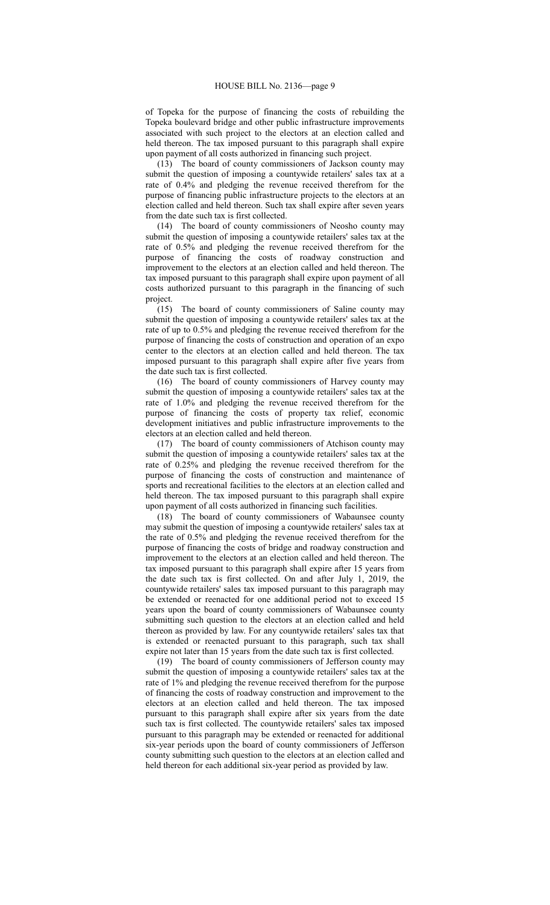of Topeka for the purpose of financing the costs of rebuilding the Topeka boulevard bridge and other public infrastructure improvements associated with such project to the electors at an election called and held thereon. The tax imposed pursuant to this paragraph shall expire upon payment of all costs authorized in financing such project.

(13) The board of county commissioners of Jackson county may submit the question of imposing a countywide retailers' sales tax at a rate of 0.4% and pledging the revenue received therefrom for the purpose of financing public infrastructure projects to the electors at an election called and held thereon. Such tax shall expire after seven years from the date such tax is first collected.

(14) The board of county commissioners of Neosho county may submit the question of imposing a countywide retailers' sales tax at the rate of 0.5% and pledging the revenue received therefrom for the purpose of financing the costs of roadway construction and improvement to the electors at an election called and held thereon. The tax imposed pursuant to this paragraph shall expire upon payment of all costs authorized pursuant to this paragraph in the financing of such project.<br>(15)

The board of county commissioners of Saline county may submit the question of imposing a countywide retailers' sales tax at the rate of up to 0.5% and pledging the revenue received therefrom for the purpose of financing the costs of construction and operation of an expo center to the electors at an election called and held thereon. The tax imposed pursuant to this paragraph shall expire after five years from the date such tax is first collected.

(16) The board of county commissioners of Harvey county may submit the question of imposing a countywide retailers' sales tax at the rate of 1.0% and pledging the revenue received therefrom for the purpose of financing the costs of property tax relief, economic development initiatives and public infrastructure improvements to the electors at an election called and held thereon.

(17) The board of county commissioners of Atchison county may submit the question of imposing a countywide retailers' sales tax at the rate of 0.25% and pledging the revenue received therefrom for the purpose of financing the costs of construction and maintenance of sports and recreational facilities to the electors at an election called and held thereon. The tax imposed pursuant to this paragraph shall expire upon payment of all costs authorized in financing such facilities.

(18) The board of county commissioners of Wabaunsee county may submit the question of imposing a countywide retailers' sales tax at the rate of 0.5% and pledging the revenue received therefrom for the purpose of financing the costs of bridge and roadway construction and improvement to the electors at an election called and held thereon. The tax imposed pursuant to this paragraph shall expire after 15 years from the date such tax is first collected. On and after July 1, 2019, the countywide retailers' sales tax imposed pursuant to this paragraph may be extended or reenacted for one additional period not to exceed 15 years upon the board of county commissioners of Wabaunsee county submitting such question to the electors at an election called and held thereon as provided by law. For any countywide retailers' sales tax that is extended or reenacted pursuant to this paragraph, such tax shall expire not later than 15 years from the date such tax is first collected.

(19) The board of county commissioners of Jefferson county may submit the question of imposing a countywide retailers' sales tax at the rate of 1% and pledging the revenue received therefrom for the purpose of financing the costs of roadway construction and improvement to the electors at an election called and held thereon. The tax imposed pursuant to this paragraph shall expire after six years from the date such tax is first collected. The countywide retailers' sales tax imposed pursuant to this paragraph may be extended or reenacted for additional six-year periods upon the board of county commissioners of Jefferson county submitting such question to the electors at an election called and held thereon for each additional six-year period as provided by law.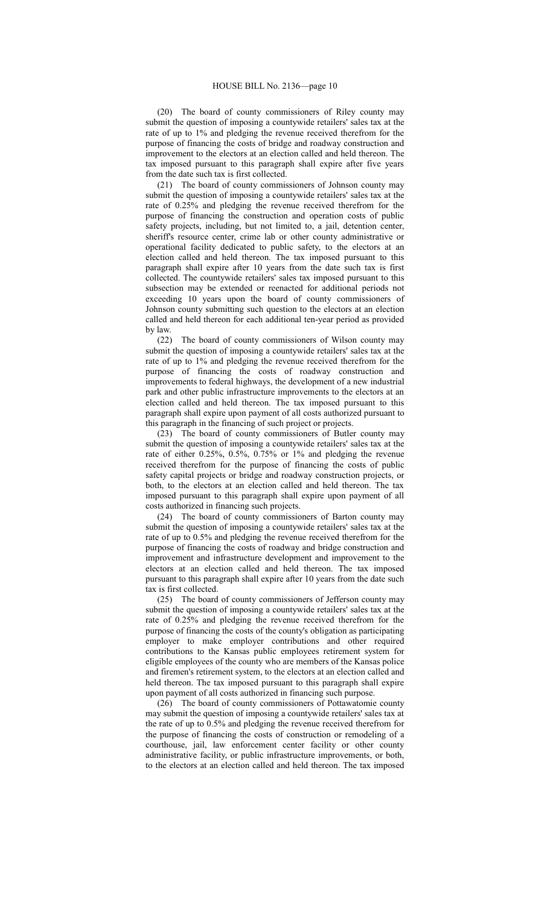(20) The board of county commissioners of Riley county may submit the question of imposing a countywide retailers' sales tax at the rate of up to 1% and pledging the revenue received therefrom for the purpose of financing the costs of bridge and roadway construction and improvement to the electors at an election called and held thereon. The tax imposed pursuant to this paragraph shall expire after five years from the date such tax is first collected.

(21) The board of county commissioners of Johnson county may submit the question of imposing a countywide retailers' sales tax at the rate of 0.25% and pledging the revenue received therefrom for the purpose of financing the construction and operation costs of public safety projects, including, but not limited to, a jail, detention center, sheriff's resource center, crime lab or other county administrative or operational facility dedicated to public safety, to the electors at an election called and held thereon. The tax imposed pursuant to this paragraph shall expire after 10 years from the date such tax is first collected. The countywide retailers' sales tax imposed pursuant to this subsection may be extended or reenacted for additional periods not exceeding 10 years upon the board of county commissioners of Johnson county submitting such question to the electors at an election called and held thereon for each additional ten-year period as provided by law.

(22) The board of county commissioners of Wilson county may submit the question of imposing a countywide retailers' sales tax at the rate of up to 1% and pledging the revenue received therefrom for the purpose of financing the costs of roadway construction and improvements to federal highways, the development of a new industrial park and other public infrastructure improvements to the electors at an election called and held thereon. The tax imposed pursuant to this paragraph shall expire upon payment of all costs authorized pursuant to this paragraph in the financing of such project or projects.

(23) The board of county commissioners of Butler county may submit the question of imposing a countywide retailers' sales tax at the rate of either 0.25%, 0.5%, 0.75% or 1% and pledging the revenue received therefrom for the purpose of financing the costs of public safety capital projects or bridge and roadway construction projects, or both, to the electors at an election called and held thereon. The tax imposed pursuant to this paragraph shall expire upon payment of all costs authorized in financing such projects.

(24) The board of county commissioners of Barton county may submit the question of imposing a countywide retailers' sales tax at the rate of up to 0.5% and pledging the revenue received therefrom for the purpose of financing the costs of roadway and bridge construction and improvement and infrastructure development and improvement to the electors at an election called and held thereon. The tax imposed pursuant to this paragraph shall expire after 10 years from the date such tax is first collected.

(25) The board of county commissioners of Jefferson county may submit the question of imposing a countywide retailers' sales tax at the rate of 0.25% and pledging the revenue received therefrom for the purpose of financing the costs of the county's obligation as participating employer to make employer contributions and other required contributions to the Kansas public employees retirement system for eligible employees of the county who are members of the Kansas police and firemen's retirement system, to the electors at an election called and held thereon. The tax imposed pursuant to this paragraph shall expire upon payment of all costs authorized in financing such purpose.

(26) The board of county commissioners of Pottawatomie county may submit the question of imposing a countywide retailers' sales tax at the rate of up to 0.5% and pledging the revenue received therefrom for the purpose of financing the costs of construction or remodeling of a courthouse, jail, law enforcement center facility or other county administrative facility, or public infrastructure improvements, or both, to the electors at an election called and held thereon. The tax imposed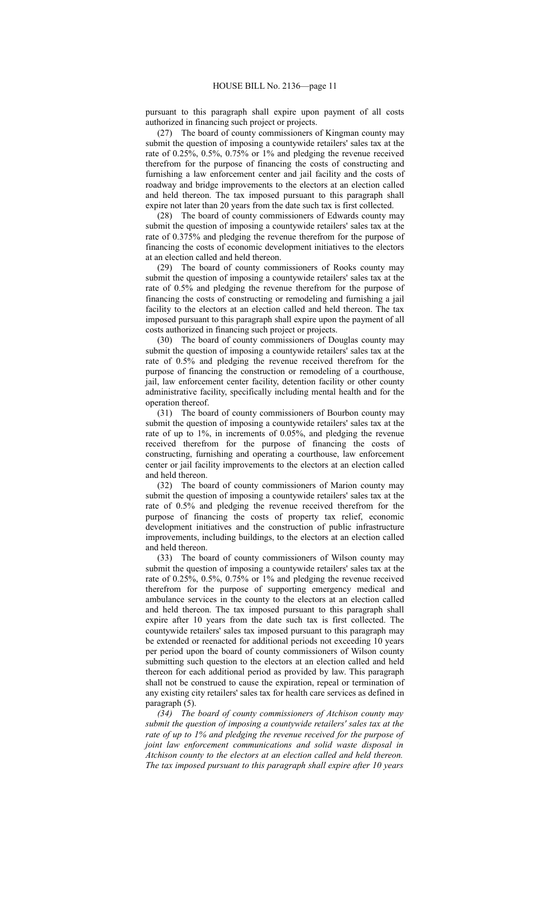pursuant to this paragraph shall expire upon payment of all costs authorized in financing such project or projects.

(27) The board of county commissioners of Kingman county may submit the question of imposing a countywide retailers' sales tax at the rate of 0.25%, 0.5%, 0.75% or 1% and pledging the revenue received therefrom for the purpose of financing the costs of constructing and furnishing a law enforcement center and jail facility and the costs of roadway and bridge improvements to the electors at an election called and held thereon. The tax imposed pursuant to this paragraph shall expire not later than 20 years from the date such tax is first collected.

(28) The board of county commissioners of Edwards county may submit the question of imposing a countywide retailers' sales tax at the rate of 0.375% and pledging the revenue therefrom for the purpose of financing the costs of economic development initiatives to the electors at an election called and held thereon.

(29) The board of county commissioners of Rooks county may submit the question of imposing a countywide retailers' sales tax at the rate of 0.5% and pledging the revenue therefrom for the purpose of financing the costs of constructing or remodeling and furnishing a jail facility to the electors at an election called and held thereon. The tax imposed pursuant to this paragraph shall expire upon the payment of all costs authorized in financing such project or projects.

(30) The board of county commissioners of Douglas county may submit the question of imposing a countywide retailers' sales tax at the rate of 0.5% and pledging the revenue received therefrom for the purpose of financing the construction or remodeling of a courthouse, jail, law enforcement center facility, detention facility or other county administrative facility, specifically including mental health and for the operation thereof.

(31) The board of county commissioners of Bourbon county may submit the question of imposing a countywide retailers' sales tax at the rate of up to 1%, in increments of 0.05%, and pledging the revenue received therefrom for the purpose of financing the costs of constructing, furnishing and operating a courthouse, law enforcement center or jail facility improvements to the electors at an election called and held thereon.

(32) The board of county commissioners of Marion county may submit the question of imposing a countywide retailers' sales tax at the rate of 0.5% and pledging the revenue received therefrom for the purpose of financing the costs of property tax relief, economic development initiatives and the construction of public infrastructure improvements, including buildings, to the electors at an election called and held thereon.

(33) The board of county commissioners of Wilson county may submit the question of imposing a countywide retailers' sales tax at the rate of 0.25%, 0.5%, 0.75% or 1% and pledging the revenue received therefrom for the purpose of supporting emergency medical and ambulance services in the county to the electors at an election called and held thereon. The tax imposed pursuant to this paragraph shall expire after 10 years from the date such tax is first collected. The countywide retailers' sales tax imposed pursuant to this paragraph may be extended or reenacted for additional periods not exceeding 10 years per period upon the board of county commissioners of Wilson county submitting such question to the electors at an election called and held thereon for each additional period as provided by law. This paragraph shall not be construed to cause the expiration, repeal or termination of any existing city retailers' sales tax for health care services as defined in paragraph (5).

*(34) The board of county commissioners of Atchison county may submit the question of imposing a countywide retailers' sales tax at the rate of up to 1% and pledging the revenue received for the purpose of joint law enforcement communications and solid waste disposal in Atchison county to the electors at an election called and held thereon. The tax imposed pursuant to this paragraph shall expire after 10 years*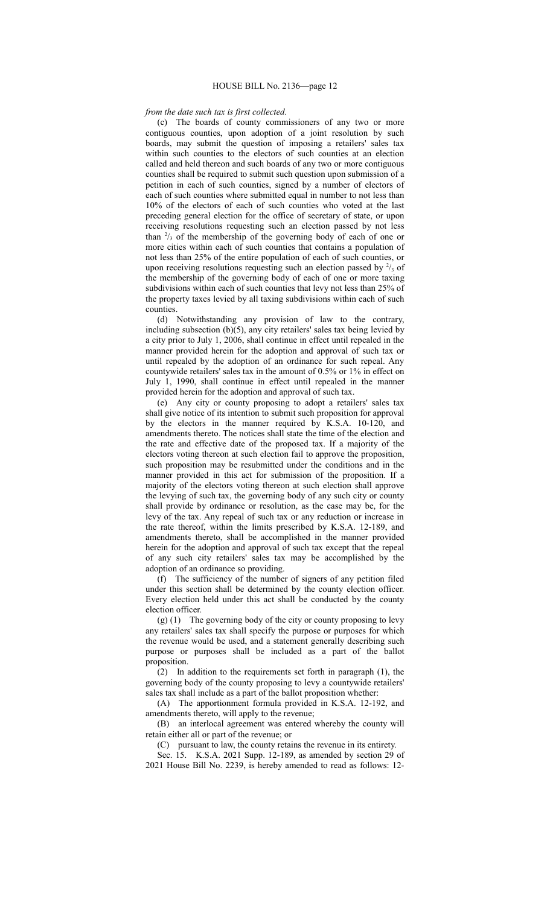## *from the date such tax is first collected.*

(c) The boards of county commissioners of any two or more contiguous counties, upon adoption of a joint resolution by such boards, may submit the question of imposing a retailers' sales tax within such counties to the electors of such counties at an election called and held thereon and such boards of any two or more contiguous counties shall be required to submit such question upon submission of a petition in each of such counties, signed by a number of electors of each of such counties where submitted equal in number to not less than 10% of the electors of each of such counties who voted at the last preceding general election for the office of secretary of state, or upon receiving resolutions requesting such an election passed by not less than  $\frac{2}{3}$  of the membership of the governing body of each of one or more cities within each of such counties that contains a population of not less than 25% of the entire population of each of such counties, or upon receiving resolutions requesting such an election passed by  $\frac{2}{3}$  of the membership of the governing body of each of one or more taxing subdivisions within each of such counties that levy not less than 25% of the property taxes levied by all taxing subdivisions within each of such counties.

(d) Notwithstanding any provision of law to the contrary, including subsection (b)(5), any city retailers' sales tax being levied by a city prior to July 1, 2006, shall continue in effect until repealed in the manner provided herein for the adoption and approval of such tax or until repealed by the adoption of an ordinance for such repeal. Any countywide retailers' sales tax in the amount of 0.5% or 1% in effect on July 1, 1990, shall continue in effect until repealed in the manner provided herein for the adoption and approval of such tax.

(e) Any city or county proposing to adopt a retailers' sales tax shall give notice of its intention to submit such proposition for approval by the electors in the manner required by K.S.A. 10-120, and amendments thereto. The notices shall state the time of the election and the rate and effective date of the proposed tax. If a majority of the electors voting thereon at such election fail to approve the proposition, such proposition may be resubmitted under the conditions and in the manner provided in this act for submission of the proposition. If a majority of the electors voting thereon at such election shall approve the levying of such tax, the governing body of any such city or county shall provide by ordinance or resolution, as the case may be, for the levy of the tax. Any repeal of such tax or any reduction or increase in the rate thereof, within the limits prescribed by K.S.A. 12-189, and amendments thereto, shall be accomplished in the manner provided herein for the adoption and approval of such tax except that the repeal of any such city retailers' sales tax may be accomplished by the adoption of an ordinance so providing.

(f) The sufficiency of the number of signers of any petition filed under this section shall be determined by the county election officer. Every election held under this act shall be conducted by the county election officer.

(g) (1) The governing body of the city or county proposing to levy any retailers' sales tax shall specify the purpose or purposes for which the revenue would be used, and a statement generally describing such purpose or purposes shall be included as a part of the ballot proposition.

(2) In addition to the requirements set forth in paragraph (1), the governing body of the county proposing to levy a countywide retailers' sales tax shall include as a part of the ballot proposition whether:

(A) The apportionment formula provided in K.S.A. 12-192, and amendments thereto, will apply to the revenue;

(B) an interlocal agreement was entered whereby the county will retain either all or part of the revenue; or

(C) pursuant to law, the county retains the revenue in its entirety.

Sec. 15. K.S.A. 2021 Supp. 12-189, as amended by section 29 of 2021 House Bill No. 2239, is hereby amended to read as follows: 12-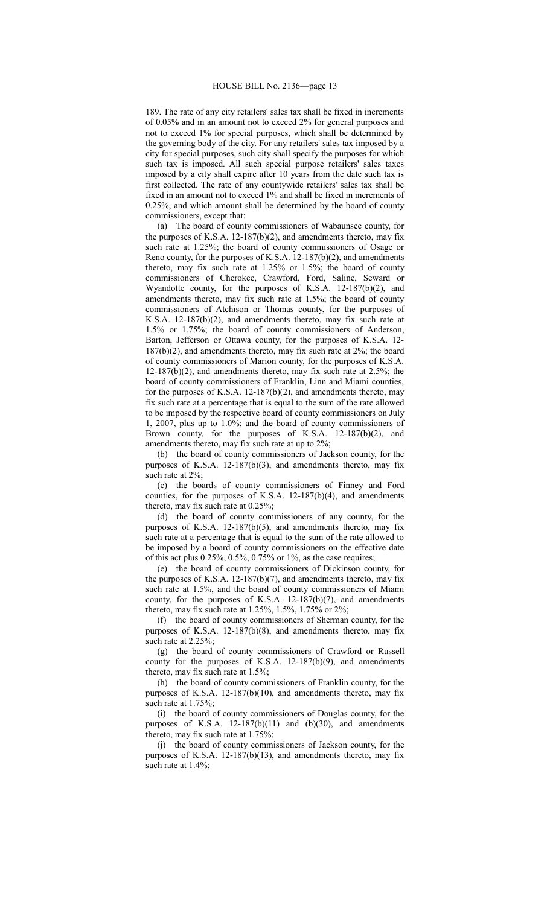189. The rate of any city retailers' sales tax shall be fixed in increments of 0.05% and in an amount not to exceed 2% for general purposes and not to exceed 1% for special purposes, which shall be determined by the governing body of the city. For any retailers' sales tax imposed by a city for special purposes, such city shall specify the purposes for which such tax is imposed. All such special purpose retailers' sales taxes imposed by a city shall expire after 10 years from the date such tax is first collected. The rate of any countywide retailers' sales tax shall be fixed in an amount not to exceed 1% and shall be fixed in increments of 0.25%, and which amount shall be determined by the board of county commissioners, except that:

(a) The board of county commissioners of Wabaunsee county, for the purposes of K.S.A. 12-187(b)(2), and amendments thereto, may fix such rate at 1.25%; the board of county commissioners of Osage or Reno county, for the purposes of K.S.A. 12-187(b)(2), and amendments thereto, may fix such rate at 1.25% or 1.5%; the board of county commissioners of Cherokee, Crawford, Ford, Saline, Seward or Wyandotte county, for the purposes of K.S.A. 12-187(b)(2), and amendments thereto, may fix such rate at 1.5%; the board of county commissioners of Atchison or Thomas county, for the purposes of K.S.A. 12-187(b)(2), and amendments thereto, may fix such rate at 1.5% or 1.75%; the board of county commissioners of Anderson, Barton, Jefferson or Ottawa county, for the purposes of K.S.A. 12- 187(b)(2), and amendments thereto, may fix such rate at 2%; the board of county commissioners of Marion county, for the purposes of K.S.A.  $12-187(b)(2)$ , and amendments thereto, may fix such rate at 2.5%; the board of county commissioners of Franklin, Linn and Miami counties, for the purposes of K.S.A. 12-187(b)(2), and amendments thereto, may fix such rate at a percentage that is equal to the sum of the rate allowed to be imposed by the respective board of county commissioners on July 1, 2007, plus up to 1.0%; and the board of county commissioners of Brown county, for the purposes of K.S.A. 12-187(b)(2), and amendments thereto, may fix such rate at up to 2%;

(b) the board of county commissioners of Jackson county, for the purposes of K.S.A. 12-187(b)(3), and amendments thereto, may fix such rate at 2%;

(c) the boards of county commissioners of Finney and Ford counties, for the purposes of K.S.A. 12-187(b)(4), and amendments thereto, may fix such rate at 0.25%;

(d) the board of county commissioners of any county, for the purposes of K.S.A. 12-187(b)(5), and amendments thereto, may fix such rate at a percentage that is equal to the sum of the rate allowed to be imposed by a board of county commissioners on the effective date of this act plus 0.25%, 0.5%, 0.75% or 1%, as the case requires;

(e) the board of county commissioners of Dickinson county, for the purposes of K.S.A. 12-187(b)(7), and amendments thereto, may fix such rate at 1.5%, and the board of county commissioners of Miami county, for the purposes of K.S.A. 12-187(b)(7), and amendments thereto, may fix such rate at 1.25%, 1.5%, 1.75% or 2%;

(f) the board of county commissioners of Sherman county, for the purposes of K.S.A. 12-187(b)(8), and amendments thereto, may fix such rate at 2.25%;

(g) the board of county commissioners of Crawford or Russell county for the purposes of K.S.A. 12-187(b)(9), and amendments thereto, may fix such rate at 1.5%;

(h) the board of county commissioners of Franklin county, for the purposes of K.S.A. 12-187(b)(10), and amendments thereto, may fix such rate at 1.75%;

(i) the board of county commissioners of Douglas county, for the purposes of K.S.A.  $12-187(b)(11)$  and  $(b)(30)$ , and amendments thereto, may fix such rate at 1.75%;

(j) the board of county commissioners of Jackson county, for the purposes of K.S.A. 12-187(b)(13), and amendments thereto, may fix such rate at 1.4%;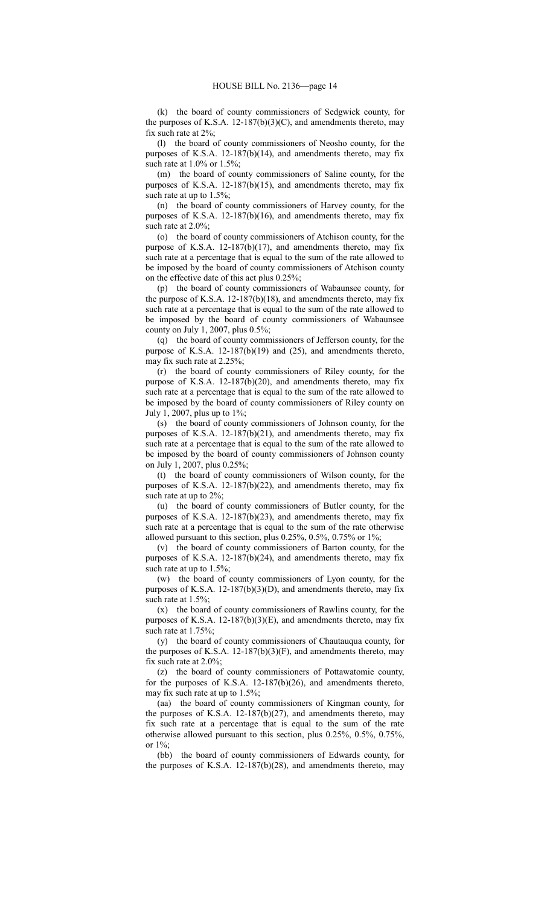(k) the board of county commissioners of Sedgwick county, for the purposes of K.S.A. 12-187(b)(3)(C), and amendments thereto, may fix such rate at 2%;

(l) the board of county commissioners of Neosho county, for the purposes of K.S.A. 12-187(b)(14), and amendments thereto, may fix such rate at 1.0% or 1.5%;

(m) the board of county commissioners of Saline county, for the purposes of K.S.A. 12-187(b)(15), and amendments thereto, may fix such rate at up to 1.5%;

(n) the board of county commissioners of Harvey county, for the purposes of K.S.A. 12-187(b)(16), and amendments thereto, may fix such rate at 2.0%;

(o) the board of county commissioners of Atchison county, for the purpose of K.S.A. 12-187(b)(17), and amendments thereto, may fix such rate at a percentage that is equal to the sum of the rate allowed to be imposed by the board of county commissioners of Atchison county on the effective date of this act plus 0.25%;

(p) the board of county commissioners of Wabaunsee county, for the purpose of K.S.A. 12-187(b)(18), and amendments thereto, may fix such rate at a percentage that is equal to the sum of the rate allowed to be imposed by the board of county commissioners of Wabaunsee county on July 1, 2007, plus 0.5%;

(q) the board of county commissioners of Jefferson county, for the purpose of K.S.A. 12-187(b)(19) and (25), and amendments thereto, may fix such rate at 2.25%;

(r) the board of county commissioners of Riley county, for the purpose of K.S.A. 12-187(b)(20), and amendments thereto, may fix such rate at a percentage that is equal to the sum of the rate allowed to be imposed by the board of county commissioners of Riley county on July 1, 2007, plus up to 1%;

(s) the board of county commissioners of Johnson county, for the purposes of K.S.A. 12-187(b)(21), and amendments thereto, may fix such rate at a percentage that is equal to the sum of the rate allowed to be imposed by the board of county commissioners of Johnson county on July 1, 2007, plus 0.25%;

(t) the board of county commissioners of Wilson county, for the purposes of K.S.A. 12-187(b)(22), and amendments thereto, may fix such rate at up to 2%;

(u) the board of county commissioners of Butler county, for the purposes of K.S.A. 12-187(b)(23), and amendments thereto, may fix such rate at a percentage that is equal to the sum of the rate otherwise allowed pursuant to this section, plus 0.25%, 0.5%, 0.75% or 1%;

(v) the board of county commissioners of Barton county, for the purposes of K.S.A. 12-187(b)(24), and amendments thereto, may fix such rate at up to 1.5%;

(w) the board of county commissioners of Lyon county, for the purposes of K.S.A. 12-187(b)(3)(D), and amendments thereto, may fix such rate at 1.5%;

(x) the board of county commissioners of Rawlins county, for the purposes of K.S.A. 12-187(b)(3)(E), and amendments thereto, may fix such rate at 1.75%;

(y) the board of county commissioners of Chautauqua county, for the purposes of K.S.A. 12-187(b)(3)(F), and amendments thereto, may fix such rate at 2.0%;

(z) the board of county commissioners of Pottawatomie county, for the purposes of K.S.A. 12-187(b)(26), and amendments thereto, may fix such rate at up to 1.5%;

(aa) the board of county commissioners of Kingman county, for the purposes of K.S.A. 12-187(b)(27), and amendments thereto, may fix such rate at a percentage that is equal to the sum of the rate otherwise allowed pursuant to this section, plus 0.25%, 0.5%, 0.75%, or 1%;

(bb) the board of county commissioners of Edwards county, for the purposes of K.S.A. 12-187(b)(28), and amendments thereto, may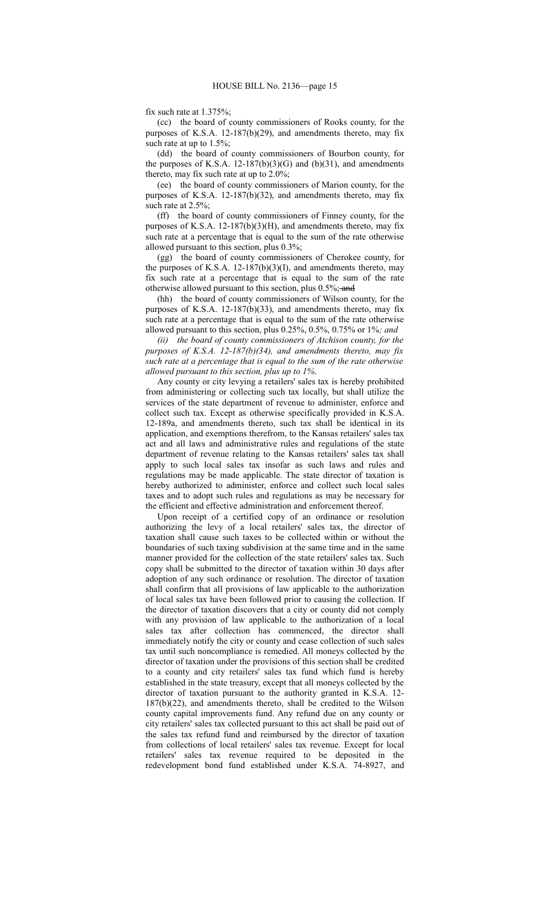fix such rate at 1.375%;

(cc) the board of county commissioners of Rooks county, for the purposes of K.S.A. 12-187(b)(29), and amendments thereto, may fix such rate at up to 1.5%;

(dd) the board of county commissioners of Bourbon county, for the purposes of K.S.A. 12-187(b)(3)(G) and (b)(31), and amendments thereto, may fix such rate at up to 2.0%;

(ee) the board of county commissioners of Marion county, for the purposes of K.S.A. 12-187(b)(32), and amendments thereto, may fix such rate at 2.5%;

(ff) the board of county commissioners of Finney county, for the purposes of K.S.A.  $12-187(b)(3)(H)$ , and amendments thereto, may fix such rate at a percentage that is equal to the sum of the rate otherwise allowed pursuant to this section, plus 0.3%;

(gg) the board of county commissioners of Cherokee county, for the purposes of K.S.A. 12-187(b)(3)(I), and amendments thereto, may fix such rate at a percentage that is equal to the sum of the rate otherwise allowed pursuant to this section, plus 0.5%; and

(hh) the board of county commissioners of Wilson county, for the purposes of K.S.A. 12-187(b)(33), and amendments thereto, may fix such rate at a percentage that is equal to the sum of the rate otherwise allowed pursuant to this section, plus 0.25%, 0.5%, 0.75% or 1%*; and*

*(ii) the board of county commissioners of Atchison county, for the purposes of K.S.A. 12-187(b)(34), and amendments thereto, may fix such rate at a percentage that is equal to the sum of the rate otherwise allowed pursuant to this section, plus up to 1%*.

Any county or city levying a retailers' sales tax is hereby prohibited from administering or collecting such tax locally, but shall utilize the services of the state department of revenue to administer, enforce and collect such tax. Except as otherwise specifically provided in K.S.A. 12-189a, and amendments thereto, such tax shall be identical in its application, and exemptions therefrom, to the Kansas retailers' sales tax act and all laws and administrative rules and regulations of the state department of revenue relating to the Kansas retailers' sales tax shall apply to such local sales tax insofar as such laws and rules and regulations may be made applicable. The state director of taxation is hereby authorized to administer, enforce and collect such local sales taxes and to adopt such rules and regulations as may be necessary for the efficient and effective administration and enforcement thereof.

Upon receipt of a certified copy of an ordinance or resolution authorizing the levy of a local retailers' sales tax, the director of taxation shall cause such taxes to be collected within or without the boundaries of such taxing subdivision at the same time and in the same manner provided for the collection of the state retailers' sales tax. Such copy shall be submitted to the director of taxation within 30 days after adoption of any such ordinance or resolution. The director of taxation shall confirm that all provisions of law applicable to the authorization of local sales tax have been followed prior to causing the collection. If the director of taxation discovers that a city or county did not comply with any provision of law applicable to the authorization of a local sales tax after collection has commenced, the director shall immediately notify the city or county and cease collection of such sales tax until such noncompliance is remedied. All moneys collected by the director of taxation under the provisions of this section shall be credited to a county and city retailers' sales tax fund which fund is hereby established in the state treasury, except that all moneys collected by the director of taxation pursuant to the authority granted in K.S.A. 12- 187(b)(22), and amendments thereto, shall be credited to the Wilson county capital improvements fund. Any refund due on any county or city retailers' sales tax collected pursuant to this act shall be paid out of the sales tax refund fund and reimbursed by the director of taxation from collections of local retailers' sales tax revenue. Except for local retailers' sales tax revenue required to be deposited in the redevelopment bond fund established under K.S.A. 74-8927, and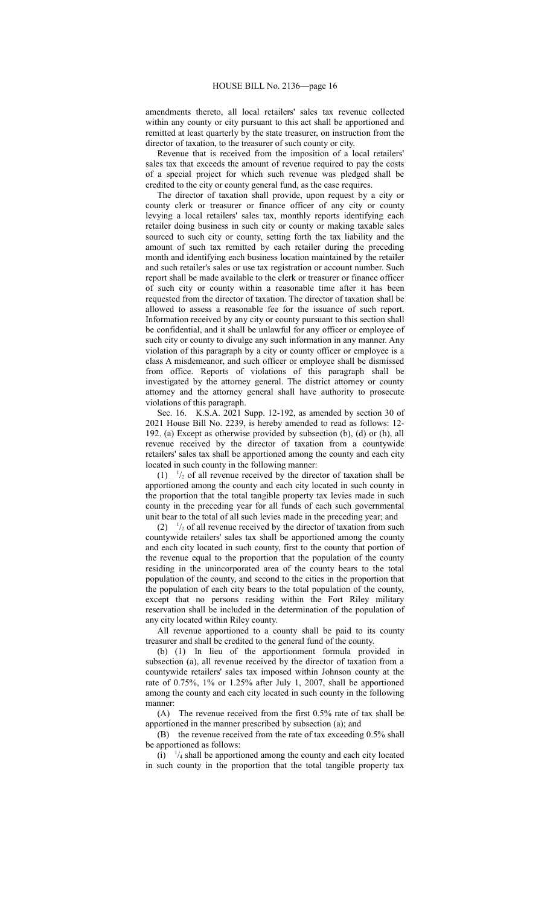amendments thereto, all local retailers' sales tax revenue collected within any county or city pursuant to this act shall be apportioned and remitted at least quarterly by the state treasurer, on instruction from the director of taxation, to the treasurer of such county or city.

Revenue that is received from the imposition of a local retailers' sales tax that exceeds the amount of revenue required to pay the costs of a special project for which such revenue was pledged shall be credited to the city or county general fund, as the case requires.

The director of taxation shall provide, upon request by a city or county clerk or treasurer or finance officer of any city or county levying a local retailers' sales tax, monthly reports identifying each retailer doing business in such city or county or making taxable sales sourced to such city or county, setting forth the tax liability and the amount of such tax remitted by each retailer during the preceding month and identifying each business location maintained by the retailer and such retailer's sales or use tax registration or account number. Such report shall be made available to the clerk or treasurer or finance officer of such city or county within a reasonable time after it has been requested from the director of taxation. The director of taxation shall be allowed to assess a reasonable fee for the issuance of such report. Information received by any city or county pursuant to this section shall be confidential, and it shall be unlawful for any officer or employee of such city or county to divulge any such information in any manner. Any violation of this paragraph by a city or county officer or employee is a class A misdemeanor, and such officer or employee shall be dismissed from office. Reports of violations of this paragraph shall be investigated by the attorney general. The district attorney or county attorney and the attorney general shall have authority to prosecute violations of this paragraph.

Sec. 16. K.S.A. 2021 Supp. 12-192, as amended by section 30 of 2021 House Bill No. 2239, is hereby amended to read as follows: 12- 192. (a) Except as otherwise provided by subsection (b), (d) or (h), all revenue received by the director of taxation from a countywide retailers' sales tax shall be apportioned among the county and each city located in such county in the following manner:

 $(1)$   $\frac{1}{2}$  of all revenue received by the director of taxation shall be apportioned among the county and each city located in such county in the proportion that the total tangible property tax levies made in such county in the preceding year for all funds of each such governmental unit bear to the total of all such levies made in the preceding year; and

 $(2)$   $\frac{1}{2}$  of all revenue received by the director of taxation from such countywide retailers' sales tax shall be apportioned among the county and each city located in such county, first to the county that portion of the revenue equal to the proportion that the population of the county residing in the unincorporated area of the county bears to the total population of the county, and second to the cities in the proportion that the population of each city bears to the total population of the county, except that no persons residing within the Fort Riley military reservation shall be included in the determination of the population of any city located within Riley county.

All revenue apportioned to a county shall be paid to its county treasurer and shall be credited to the general fund of the county.

(b) (1) In lieu of the apportionment formula provided in subsection (a), all revenue received by the director of taxation from a countywide retailers' sales tax imposed within Johnson county at the rate of 0.75%, 1% or 1.25% after July 1, 2007, shall be apportioned among the county and each city located in such county in the following manner:

(A) The revenue received from the first 0.5% rate of tax shall be apportioned in the manner prescribed by subsection (a); and

(B) the revenue received from the rate of tax exceeding 0.5% shall be apportioned as follows:

 $(i)$   $\frac{1}{4}$  shall be apportioned among the county and each city located in such county in the proportion that the total tangible property tax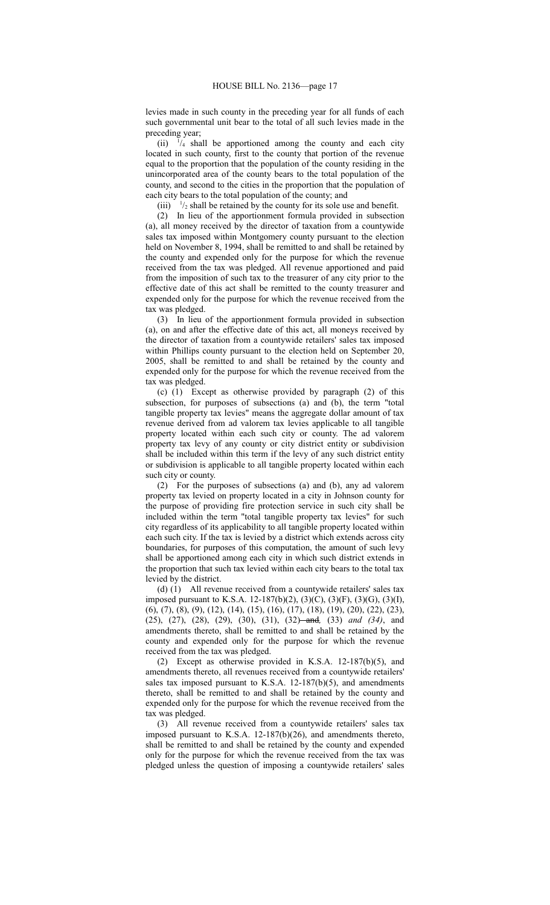levies made in such county in the preceding year for all funds of each such governmental unit bear to the total of all such levies made in the preceding year;

 $(ii)$  $\frac{1}{4}$  shall be apportioned among the county and each city located in such county, first to the county that portion of the revenue equal to the proportion that the population of the county residing in the unincorporated area of the county bears to the total population of the county, and second to the cities in the proportion that the population of each city bears to the total population of the county; and

 $(iii)$  $\frac{1}{2}$  shall be retained by the county for its sole use and benefit.

(2) In lieu of the apportionment formula provided in subsection (a), all money received by the director of taxation from a countywide sales tax imposed within Montgomery county pursuant to the election held on November 8, 1994, shall be remitted to and shall be retained by the county and expended only for the purpose for which the revenue received from the tax was pledged. All revenue apportioned and paid from the imposition of such tax to the treasurer of any city prior to the effective date of this act shall be remitted to the county treasurer and expended only for the purpose for which the revenue received from the tax was pledged.

(3) In lieu of the apportionment formula provided in subsection (a), on and after the effective date of this act, all moneys received by the director of taxation from a countywide retailers' sales tax imposed within Phillips county pursuant to the election held on September 20, 2005, shall be remitted to and shall be retained by the county and expended only for the purpose for which the revenue received from the tax was pledged.

(c) (1) Except as otherwise provided by paragraph (2) of this subsection, for purposes of subsections (a) and (b), the term "total tangible property tax levies" means the aggregate dollar amount of tax revenue derived from ad valorem tax levies applicable to all tangible property located within each such city or county. The ad valorem property tax levy of any county or city district entity or subdivision shall be included within this term if the levy of any such district entity or subdivision is applicable to all tangible property located within each such city or county.

(2) For the purposes of subsections (a) and (b), any ad valorem property tax levied on property located in a city in Johnson county for the purpose of providing fire protection service in such city shall be included within the term "total tangible property tax levies" for such city regardless of its applicability to all tangible property located within each such city. If the tax is levied by a district which extends across city boundaries, for purposes of this computation, the amount of such levy shall be apportioned among each city in which such district extends in the proportion that such tax levied within each city bears to the total tax levied by the district.

(d) (1) All revenue received from a countywide retailers' sales tax imposed pursuant to K.S.A. 12-187(b)(2), (3)(C), (3)(F), (3)(G), (3)(I), (6), (7), (8), (9), (12), (14), (15), (16), (17), (18), (19), (20), (22), (23), (25), (27), (28), (29), (30), (31), (32) and*,* (33) *and (34)*, and amendments thereto, shall be remitted to and shall be retained by the county and expended only for the purpose for which the revenue received from the tax was pledged.

(2) Except as otherwise provided in K.S.A. 12-187(b)(5), and amendments thereto, all revenues received from a countywide retailers' sales tax imposed pursuant to K.S.A.  $12-187(b)(5)$ , and amendments thereto, shall be remitted to and shall be retained by the county and expended only for the purpose for which the revenue received from the tax was pledged.

(3) All revenue received from a countywide retailers' sales tax imposed pursuant to K.S.A. 12-187(b)(26), and amendments thereto, shall be remitted to and shall be retained by the county and expended only for the purpose for which the revenue received from the tax was pledged unless the question of imposing a countywide retailers' sales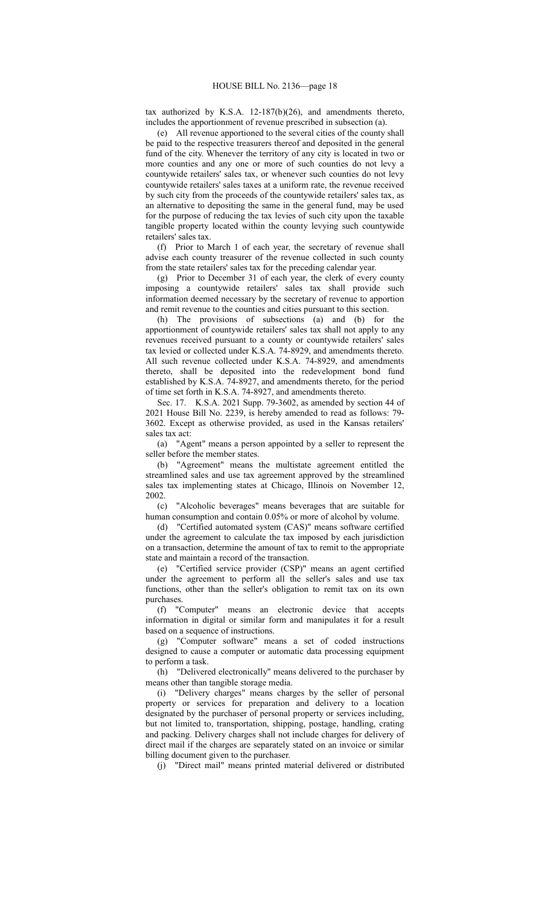tax authorized by K.S.A. 12-187(b)(26), and amendments thereto, includes the apportionment of revenue prescribed in subsection (a).

(e) All revenue apportioned to the several cities of the county shall be paid to the respective treasurers thereof and deposited in the general fund of the city. Whenever the territory of any city is located in two or more counties and any one or more of such counties do not levy a countywide retailers' sales tax, or whenever such counties do not levy countywide retailers' sales taxes at a uniform rate, the revenue received by such city from the proceeds of the countywide retailers' sales tax, as an alternative to depositing the same in the general fund, may be used for the purpose of reducing the tax levies of such city upon the taxable tangible property located within the county levying such countywide retailers' sales tax.

(f) Prior to March 1 of each year, the secretary of revenue shall advise each county treasurer of the revenue collected in such county from the state retailers' sales tax for the preceding calendar year.

(g) Prior to December 31 of each year, the clerk of every county imposing a countywide retailers' sales tax shall provide such information deemed necessary by the secretary of revenue to apportion and remit revenue to the counties and cities pursuant to this section.

(h) The provisions of subsections (a) and (b) for the apportionment of countywide retailers' sales tax shall not apply to any revenues received pursuant to a county or countywide retailers' sales tax levied or collected under K.S.A. 74-8929, and amendments thereto. All such revenue collected under K.S.A. 74-8929, and amendments thereto, shall be deposited into the redevelopment bond fund established by K.S.A. 74-8927, and amendments thereto, for the period of time set forth in K.S.A. 74-8927, and amendments thereto.

Sec. 17. K.S.A. 2021 Supp. 79-3602, as amended by section 44 of 2021 House Bill No. 2239, is hereby amended to read as follows: 79- 3602. Except as otherwise provided, as used in the Kansas retailers' sales tax act:

(a) "Agent" means a person appointed by a seller to represent the seller before the member states.

(b) "Agreement" means the multistate agreement entitled the streamlined sales and use tax agreement approved by the streamlined sales tax implementing states at Chicago, Illinois on November 12, 2002.

(c) "Alcoholic beverages" means beverages that are suitable for human consumption and contain 0.05% or more of alcohol by volume.

(d) "Certified automated system (CAS)" means software certified under the agreement to calculate the tax imposed by each jurisdiction on a transaction, determine the amount of tax to remit to the appropriate state and maintain a record of the transaction.

(e) "Certified service provider (CSP)" means an agent certified under the agreement to perform all the seller's sales and use tax functions, other than the seller's obligation to remit tax on its own purchases.

(f) "Computer" means an electronic device that accepts information in digital or similar form and manipulates it for a result based on a sequence of instructions.

(g) "Computer software" means a set of coded instructions designed to cause a computer or automatic data processing equipment to perform a task.

(h) "Delivered electronically" means delivered to the purchaser by means other than tangible storage media.

(i) "Delivery charges" means charges by the seller of personal property or services for preparation and delivery to a location designated by the purchaser of personal property or services including, but not limited to, transportation, shipping, postage, handling, crating and packing. Delivery charges shall not include charges for delivery of direct mail if the charges are separately stated on an invoice or similar billing document given to the purchaser.

(j) "Direct mail" means printed material delivered or distributed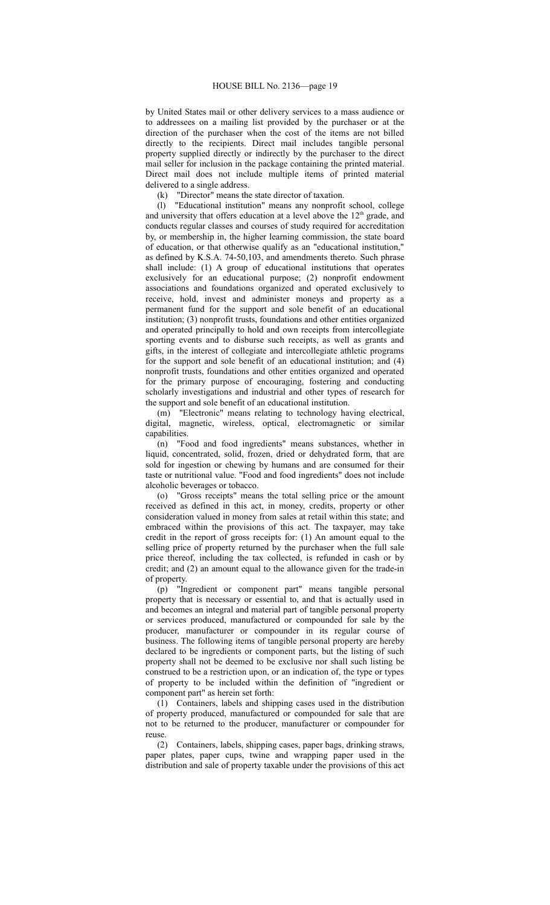by United States mail or other delivery services to a mass audience or to addressees on a mailing list provided by the purchaser or at the direction of the purchaser when the cost of the items are not billed directly to the recipients. Direct mail includes tangible personal property supplied directly or indirectly by the purchaser to the direct mail seller for inclusion in the package containing the printed material. Direct mail does not include multiple items of printed material delivered to a single address.

(k) "Director" means the state director of taxation.

(l) "Educational institution" means any nonprofit school, college and university that offers education at a level above the  $12<sup>th</sup>$  grade, and conducts regular classes and courses of study required for accreditation by, or membership in, the higher learning commission, the state board of education, or that otherwise qualify as an "educational institution," as defined by K.S.A. 74-50,103, and amendments thereto. Such phrase shall include: (1) A group of educational institutions that operates exclusively for an educational purpose; (2) nonprofit endowment associations and foundations organized and operated exclusively to receive, hold, invest and administer moneys and property as a permanent fund for the support and sole benefit of an educational institution; (3) nonprofit trusts, foundations and other entities organized and operated principally to hold and own receipts from intercollegiate sporting events and to disburse such receipts, as well as grants and gifts, in the interest of collegiate and intercollegiate athletic programs for the support and sole benefit of an educational institution; and (4) nonprofit trusts, foundations and other entities organized and operated for the primary purpose of encouraging, fostering and conducting scholarly investigations and industrial and other types of research for the support and sole benefit of an educational institution.

(m) "Electronic" means relating to technology having electrical, digital, magnetic, wireless, optical, electromagnetic or similar capabilities.

(n) "Food and food ingredients" means substances, whether in liquid, concentrated, solid, frozen, dried or dehydrated form, that are sold for ingestion or chewing by humans and are consumed for their taste or nutritional value. "Food and food ingredients" does not include alcoholic beverages or tobacco.

(o) "Gross receipts" means the total selling price or the amount received as defined in this act, in money, credits, property or other consideration valued in money from sales at retail within this state; and embraced within the provisions of this act. The taxpayer, may take credit in the report of gross receipts for: (1) An amount equal to the selling price of property returned by the purchaser when the full sale price thereof, including the tax collected, is refunded in cash or by credit; and (2) an amount equal to the allowance given for the trade-in of property.

(p) "Ingredient or component part" means tangible personal property that is necessary or essential to, and that is actually used in and becomes an integral and material part of tangible personal property or services produced, manufactured or compounded for sale by the producer, manufacturer or compounder in its regular course of business. The following items of tangible personal property are hereby declared to be ingredients or component parts, but the listing of such property shall not be deemed to be exclusive nor shall such listing be construed to be a restriction upon, or an indication of, the type or types of property to be included within the definition of "ingredient or component part" as herein set forth:

(1) Containers, labels and shipping cases used in the distribution of property produced, manufactured or compounded for sale that are not to be returned to the producer, manufacturer or compounder for reuse.

(2) Containers, labels, shipping cases, paper bags, drinking straws, paper plates, paper cups, twine and wrapping paper used in the distribution and sale of property taxable under the provisions of this act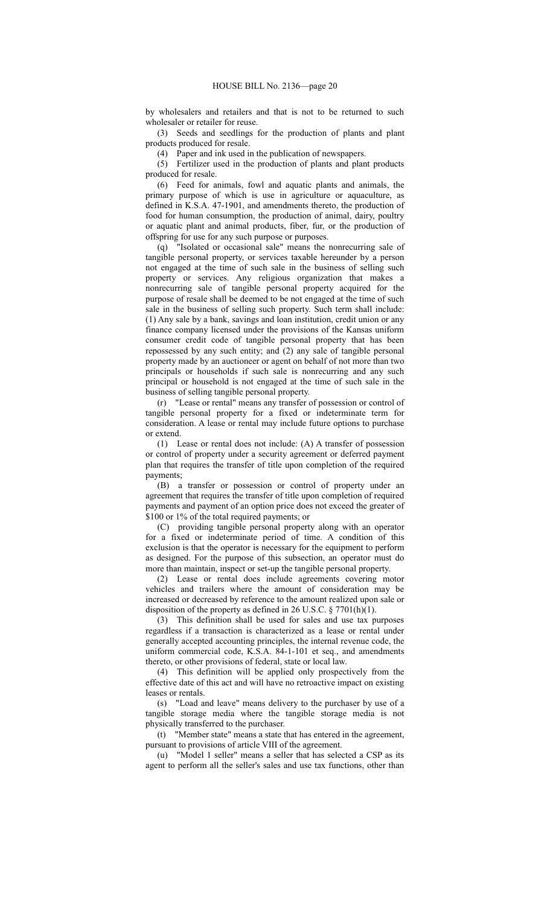by wholesalers and retailers and that is not to be returned to such wholesaler or retailer for reuse.

(3) Seeds and seedlings for the production of plants and plant products produced for resale.

(4) Paper and ink used in the publication of newspapers.

(5) Fertilizer used in the production of plants and plant products produced for resale.

(6) Feed for animals, fowl and aquatic plants and animals, the primary purpose of which is use in agriculture or aquaculture, as defined in K.S.A. 47-1901, and amendments thereto, the production of food for human consumption, the production of animal, dairy, poultry or aquatic plant and animal products, fiber, fur, or the production of offspring for use for any such purpose or purposes.

(q) "Isolated or occasional sale" means the nonrecurring sale of tangible personal property, or services taxable hereunder by a person not engaged at the time of such sale in the business of selling such property or services. Any religious organization that makes a nonrecurring sale of tangible personal property acquired for the purpose of resale shall be deemed to be not engaged at the time of such sale in the business of selling such property. Such term shall include: (1) Any sale by a bank, savings and loan institution, credit union or any finance company licensed under the provisions of the Kansas uniform consumer credit code of tangible personal property that has been repossessed by any such entity; and (2) any sale of tangible personal property made by an auctioneer or agent on behalf of not more than two principals or households if such sale is nonrecurring and any such principal or household is not engaged at the time of such sale in the business of selling tangible personal property.

(r) "Lease or rental" means any transfer of possession or control of tangible personal property for a fixed or indeterminate term for consideration. A lease or rental may include future options to purchase or extend.

(1) Lease or rental does not include: (A) A transfer of possession or control of property under a security agreement or deferred payment plan that requires the transfer of title upon completion of the required payments;

(B) a transfer or possession or control of property under an agreement that requires the transfer of title upon completion of required payments and payment of an option price does not exceed the greater of \$100 or 1% of the total required payments; or

(C) providing tangible personal property along with an operator for a fixed or indeterminate period of time. A condition of this exclusion is that the operator is necessary for the equipment to perform as designed. For the purpose of this subsection, an operator must do more than maintain, inspect or set-up the tangible personal property.

(2) Lease or rental does include agreements covering motor vehicles and trailers where the amount of consideration may be increased or decreased by reference to the amount realized upon sale or disposition of the property as defined in 26 U.S.C. § 7701(h)(1).

(3) This definition shall be used for sales and use tax purposes regardless if a transaction is characterized as a lease or rental under generally accepted accounting principles, the internal revenue code, the uniform commercial code, K.S.A. 84-1-101 et seq., and amendments thereto, or other provisions of federal, state or local law.

(4) This definition will be applied only prospectively from the effective date of this act and will have no retroactive impact on existing leases or rentals.

(s) "Load and leave" means delivery to the purchaser by use of a tangible storage media where the tangible storage media is not physically transferred to the purchaser.

(t) "Member state" means a state that has entered in the agreement, pursuant to provisions of article VIII of the agreement.

(u) "Model 1 seller" means a seller that has selected a CSP as its agent to perform all the seller's sales and use tax functions, other than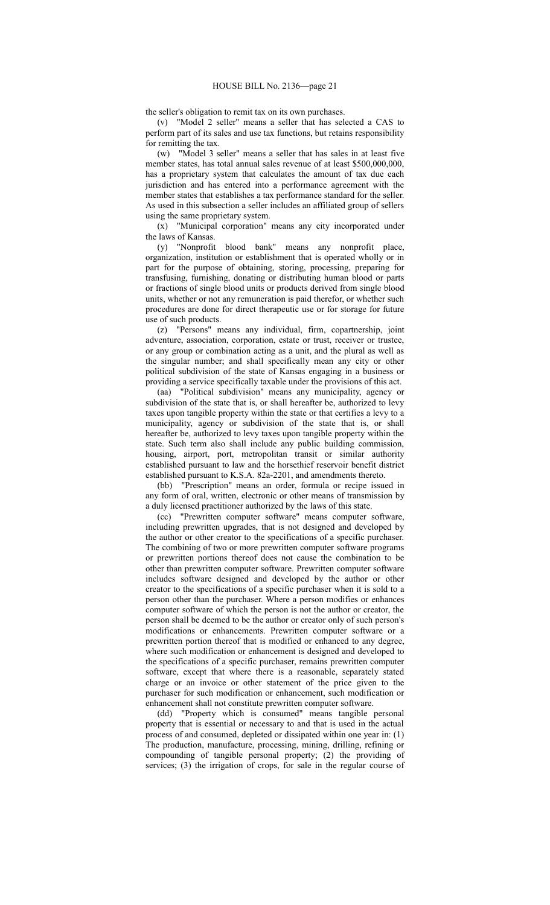the seller's obligation to remit tax on its own purchases.

(v) "Model 2 seller" means a seller that has selected a CAS to perform part of its sales and use tax functions, but retains responsibility for remitting the tax.

(w) "Model 3 seller" means a seller that has sales in at least five member states, has total annual sales revenue of at least \$500,000,000, has a proprietary system that calculates the amount of tax due each jurisdiction and has entered into a performance agreement with the member states that establishes a tax performance standard for the seller. As used in this subsection a seller includes an affiliated group of sellers using the same proprietary system.

(x) "Municipal corporation" means any city incorporated under the laws of Kansas.

(y) "Nonprofit blood bank" means any nonprofit place, organization, institution or establishment that is operated wholly or in part for the purpose of obtaining, storing, processing, preparing for transfusing, furnishing, donating or distributing human blood or parts or fractions of single blood units or products derived from single blood units, whether or not any remuneration is paid therefor, or whether such procedures are done for direct therapeutic use or for storage for future use of such products.

(z) "Persons" means any individual, firm, copartnership, joint adventure, association, corporation, estate or trust, receiver or trustee, or any group or combination acting as a unit, and the plural as well as the singular number; and shall specifically mean any city or other political subdivision of the state of Kansas engaging in a business or providing a service specifically taxable under the provisions of this act.

(aa) "Political subdivision" means any municipality, agency or subdivision of the state that is, or shall hereafter be, authorized to levy taxes upon tangible property within the state or that certifies a levy to a municipality, agency or subdivision of the state that is, or shall hereafter be, authorized to levy taxes upon tangible property within the state. Such term also shall include any public building commission, housing, airport, port, metropolitan transit or similar authority established pursuant to law and the horsethief reservoir benefit district established pursuant to K.S.A. 82a-2201, and amendments thereto.

(bb) "Prescription" means an order, formula or recipe issued in any form of oral, written, electronic or other means of transmission by a duly licensed practitioner authorized by the laws of this state.

(cc) "Prewritten computer software" means computer software, including prewritten upgrades, that is not designed and developed by the author or other creator to the specifications of a specific purchaser. The combining of two or more prewritten computer software programs or prewritten portions thereof does not cause the combination to be other than prewritten computer software. Prewritten computer software includes software designed and developed by the author or other creator to the specifications of a specific purchaser when it is sold to a person other than the purchaser. Where a person modifies or enhances computer software of which the person is not the author or creator, the person shall be deemed to be the author or creator only of such person's modifications or enhancements. Prewritten computer software or a prewritten portion thereof that is modified or enhanced to any degree, where such modification or enhancement is designed and developed to the specifications of a specific purchaser, remains prewritten computer software, except that where there is a reasonable, separately stated charge or an invoice or other statement of the price given to the purchaser for such modification or enhancement, such modification or enhancement shall not constitute prewritten computer software.

(dd) "Property which is consumed" means tangible personal property that is essential or necessary to and that is used in the actual process of and consumed, depleted or dissipated within one year in: (1) The production, manufacture, processing, mining, drilling, refining or compounding of tangible personal property; (2) the providing of services; (3) the irrigation of crops, for sale in the regular course of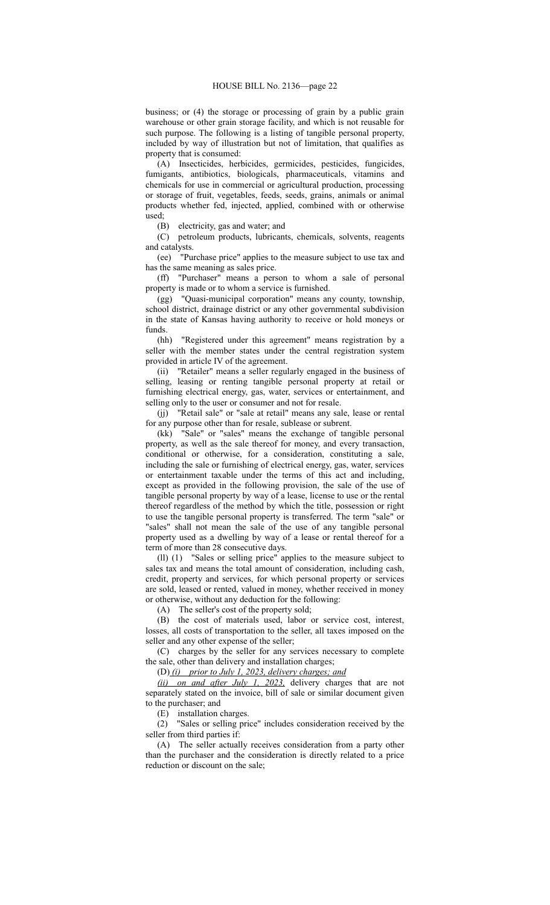business; or (4) the storage or processing of grain by a public grain warehouse or other grain storage facility, and which is not reusable for such purpose. The following is a listing of tangible personal property, included by way of illustration but not of limitation, that qualifies as property that is consumed:

(A) Insecticides, herbicides, germicides, pesticides, fungicides, fumigants, antibiotics, biologicals, pharmaceuticals, vitamins and chemicals for use in commercial or agricultural production, processing or storage of fruit, vegetables, feeds, seeds, grains, animals or animal products whether fed, injected, applied, combined with or otherwise used;

(B) electricity, gas and water; and

(C) petroleum products, lubricants, chemicals, solvents, reagents and catalysts.

(ee) "Purchase price" applies to the measure subject to use tax and has the same meaning as sales price.

(ff) "Purchaser" means a person to whom a sale of personal property is made or to whom a service is furnished.

(gg) "Quasi-municipal corporation" means any county, township, school district, drainage district or any other governmental subdivision in the state of Kansas having authority to receive or hold moneys or funds.

(hh) "Registered under this agreement" means registration by a seller with the member states under the central registration system provided in article IV of the agreement.

(ii) "Retailer" means a seller regularly engaged in the business of selling, leasing or renting tangible personal property at retail or furnishing electrical energy, gas, water, services or entertainment, and selling only to the user or consumer and not for resale.

(jj) "Retail sale" or "sale at retail" means any sale, lease or rental for any purpose other than for resale, sublease or subrent.

(kk) "Sale" or "sales" means the exchange of tangible personal property, as well as the sale thereof for money, and every transaction, conditional or otherwise, for a consideration, constituting a sale, including the sale or furnishing of electrical energy, gas, water, services or entertainment taxable under the terms of this act and including, except as provided in the following provision, the sale of the use of tangible personal property by way of a lease, license to use or the rental thereof regardless of the method by which the title, possession or right to use the tangible personal property is transferred. The term "sale" or "sales" shall not mean the sale of the use of any tangible personal property used as a dwelling by way of a lease or rental thereof for a term of more than 28 consecutive days.

(ll) (1) "Sales or selling price" applies to the measure subject to sales tax and means the total amount of consideration, including cash, credit, property and services, for which personal property or services are sold, leased or rented, valued in money, whether received in money or otherwise, without any deduction for the following:

(A) The seller's cost of the property sold;

(B) the cost of materials used, labor or service cost, interest, losses, all costs of transportation to the seller, all taxes imposed on the seller and any other expense of the seller;

(C) charges by the seller for any services necessary to complete the sale, other than delivery and installation charges;

(D) *(i) prior to July 1, 2023, delivery charges; and*

*(ii) on and after July 1, 2023,* delivery charges that are not separately stated on the invoice, bill of sale or similar document given to the purchaser; and

(E) installation charges.

(2) "Sales or selling price" includes consideration received by the seller from third parties if:

(A) The seller actually receives consideration from a party other than the purchaser and the consideration is directly related to a price reduction or discount on the sale;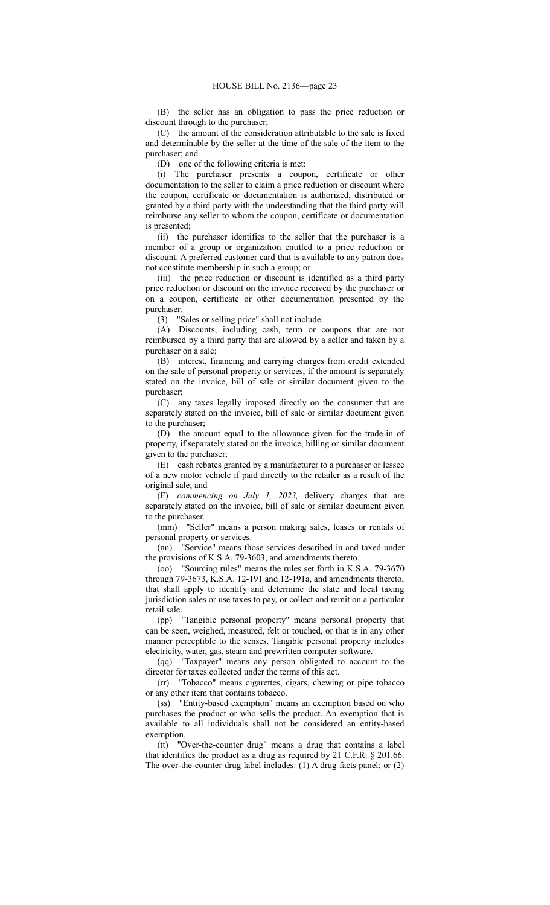(B) the seller has an obligation to pass the price reduction or discount through to the purchaser;

(C) the amount of the consideration attributable to the sale is fixed and determinable by the seller at the time of the sale of the item to the purchaser; and

(D) one of the following criteria is met:

(i) The purchaser presents a coupon, certificate or other documentation to the seller to claim a price reduction or discount where the coupon, certificate or documentation is authorized, distributed or granted by a third party with the understanding that the third party will reimburse any seller to whom the coupon, certificate or documentation is presented;

(ii) the purchaser identifies to the seller that the purchaser is a member of a group or organization entitled to a price reduction or discount. A preferred customer card that is available to any patron does not constitute membership in such a group; or

(iii) the price reduction or discount is identified as a third party price reduction or discount on the invoice received by the purchaser or on a coupon, certificate or other documentation presented by the purchaser.

(3) "Sales or selling price" shall not include:

(A) Discounts, including cash, term or coupons that are not reimbursed by a third party that are allowed by a seller and taken by a purchaser on a sale;

(B) interest, financing and carrying charges from credit extended on the sale of personal property or services, if the amount is separately stated on the invoice, bill of sale or similar document given to the purchaser;

(C) any taxes legally imposed directly on the consumer that are separately stated on the invoice, bill of sale or similar document given to the purchaser;

(D) the amount equal to the allowance given for the trade-in of property, if separately stated on the invoice, billing or similar document given to the purchaser;

(E) cash rebates granted by a manufacturer to a purchaser or lessee of a new motor vehicle if paid directly to the retailer as a result of the original sale; and

(F) *commencing on July 1, 2023,* delivery charges that are separately stated on the invoice, bill of sale or similar document given to the purchaser.

(mm) "Seller" means a person making sales, leases or rentals of personal property or services.

(nn) "Service" means those services described in and taxed under the provisions of K.S.A. 79-3603, and amendments thereto.

(oo) "Sourcing rules" means the rules set forth in K.S.A. 79-3670 through 79-3673, K.S.A. 12-191 and 12-191a, and amendments thereto, that shall apply to identify and determine the state and local taxing jurisdiction sales or use taxes to pay, or collect and remit on a particular retail sale.

(pp) "Tangible personal property" means personal property that can be seen, weighed, measured, felt or touched, or that is in any other manner perceptible to the senses. Tangible personal property includes electricity, water, gas, steam and prewritten computer software.

(qq) "Taxpayer" means any person obligated to account to the director for taxes collected under the terms of this act.

(rr) "Tobacco" means cigarettes, cigars, chewing or pipe tobacco or any other item that contains tobacco.

(ss) "Entity-based exemption" means an exemption based on who purchases the product or who sells the product. An exemption that is available to all individuals shall not be considered an entity-based exemption.

(tt) "Over-the-counter drug" means a drug that contains a label that identifies the product as a drug as required by 21 C.F.R. § 201.66. The over-the-counter drug label includes: (1) A drug facts panel; or (2)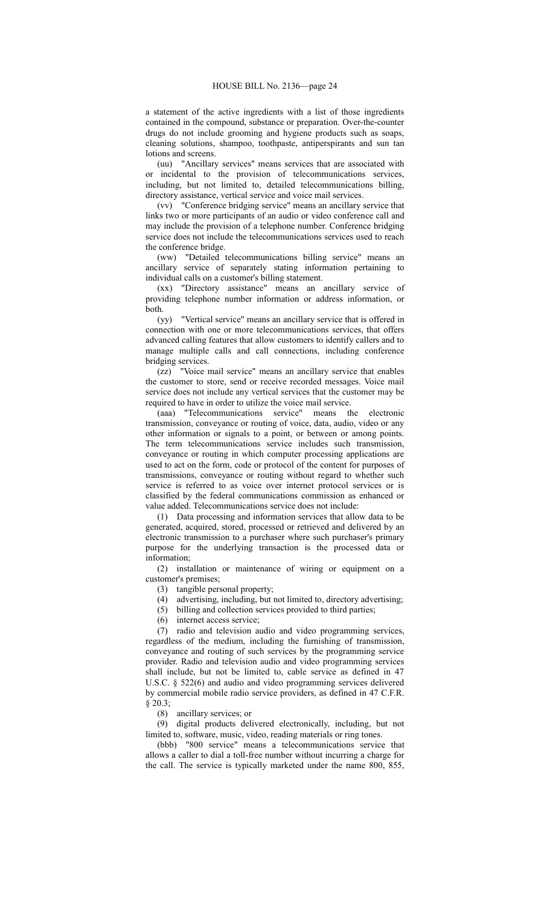a statement of the active ingredients with a list of those ingredients contained in the compound, substance or preparation. Over-the-counter drugs do not include grooming and hygiene products such as soaps, cleaning solutions, shampoo, toothpaste, antiperspirants and sun tan lotions and screens.

(uu) "Ancillary services" means services that are associated with or incidental to the provision of telecommunications services, including, but not limited to, detailed telecommunications billing, directory assistance, vertical service and voice mail services.

(vv) "Conference bridging service" means an ancillary service that links two or more participants of an audio or video conference call and may include the provision of a telephone number. Conference bridging service does not include the telecommunications services used to reach the conference bridge.

(ww) "Detailed telecommunications billing service" means an ancillary service of separately stating information pertaining to individual calls on a customer's billing statement.

(xx) "Directory assistance" means an ancillary service of providing telephone number information or address information, or both.

(yy) "Vertical service" means an ancillary service that is offered in connection with one or more telecommunications services, that offers advanced calling features that allow customers to identify callers and to manage multiple calls and call connections, including conference bridging services.

(zz) "Voice mail service" means an ancillary service that enables the customer to store, send or receive recorded messages. Voice mail service does not include any vertical services that the customer may be required to have in order to utilize the voice mail service.

(aaa) "Telecommunications service" means the electronic transmission, conveyance or routing of voice, data, audio, video or any other information or signals to a point, or between or among points. The term telecommunications service includes such transmission, conveyance or routing in which computer processing applications are used to act on the form, code or protocol of the content for purposes of transmissions, conveyance or routing without regard to whether such service is referred to as voice over internet protocol services or is classified by the federal communications commission as enhanced or value added. Telecommunications service does not include:

(1) Data processing and information services that allow data to be generated, acquired, stored, processed or retrieved and delivered by an electronic transmission to a purchaser where such purchaser's primary purpose for the underlying transaction is the processed data or information;

(2) installation or maintenance of wiring or equipment on a customer's premises;

(3) tangible personal property;

- (4) advertising, including, but not limited to, directory advertising;
- (5) billing and collection services provided to third parties;
- (6) internet access service;

(7) radio and television audio and video programming services, regardless of the medium, including the furnishing of transmission, conveyance and routing of such services by the programming service provider. Radio and television audio and video programming services shall include, but not be limited to, cable service as defined in 47 U.S.C. § 522(6) and audio and video programming services delivered by commercial mobile radio service providers, as defined in 47 C.F.R. § 20.3;

(8) ancillary services; or

(9) digital products delivered electronically, including, but not limited to, software, music, video, reading materials or ring tones.

(bbb) "800 service" means a telecommunications service that allows a caller to dial a toll-free number without incurring a charge for the call. The service is typically marketed under the name 800, 855,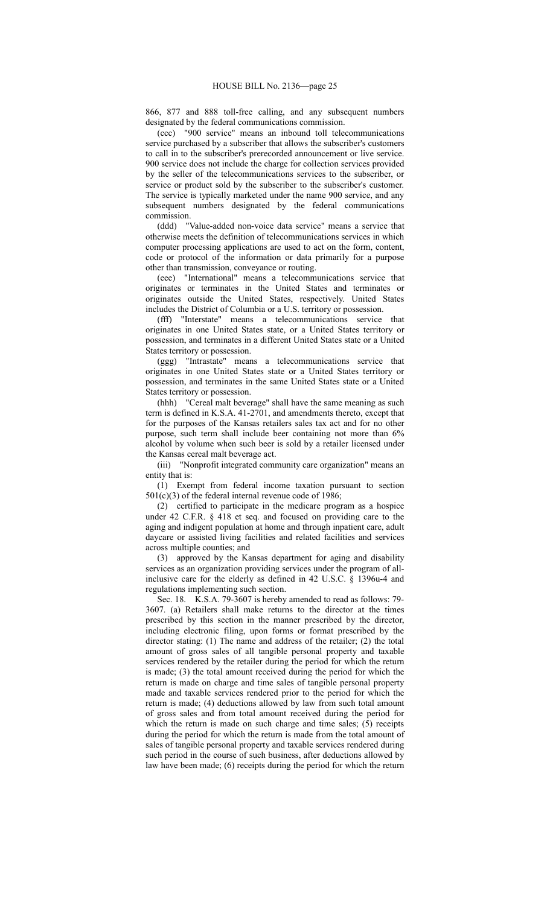866, 877 and 888 toll-free calling, and any subsequent numbers designated by the federal communications commission.

(ccc) "900 service" means an inbound toll telecommunications service purchased by a subscriber that allows the subscriber's customers to call in to the subscriber's prerecorded announcement or live service. 900 service does not include the charge for collection services provided by the seller of the telecommunications services to the subscriber, or service or product sold by the subscriber to the subscriber's customer. The service is typically marketed under the name 900 service, and any subsequent numbers designated by the federal communications commission.

(ddd) "Value-added non-voice data service" means a service that otherwise meets the definition of telecommunications services in which computer processing applications are used to act on the form, content, code or protocol of the information or data primarily for a purpose other than transmission, conveyance or routing.

(eee) "International" means a telecommunications service that originates or terminates in the United States and terminates or originates outside the United States, respectively. United States includes the District of Columbia or a U.S. territory or possession.

(fff) "Interstate" means a telecommunications service that originates in one United States state, or a United States territory or possession, and terminates in a different United States state or a United States territory or possession.

(ggg) "Intrastate" means a telecommunications service that originates in one United States state or a United States territory or possession, and terminates in the same United States state or a United States territory or possession.

(hhh) "Cereal malt beverage" shall have the same meaning as such term is defined in K.S.A. 41-2701, and amendments thereto, except that for the purposes of the Kansas retailers sales tax act and for no other purpose, such term shall include beer containing not more than 6% alcohol by volume when such beer is sold by a retailer licensed under the Kansas cereal malt beverage act.

(iii) "Nonprofit integrated community care organization" means an entity that is:

(1) Exempt from federal income taxation pursuant to section 501(c)(3) of the federal internal revenue code of 1986;

(2) certified to participate in the medicare program as a hospice under 42 C.F.R. § 418 et seq. and focused on providing care to the aging and indigent population at home and through inpatient care, adult daycare or assisted living facilities and related facilities and services across multiple counties; and

(3) approved by the Kansas department for aging and disability services as an organization providing services under the program of allinclusive care for the elderly as defined in 42 U.S.C. § 1396u-4 and regulations implementing such section.

Sec. 18. K.S.A. 79-3607 is hereby amended to read as follows: 79- 3607. (a) Retailers shall make returns to the director at the times prescribed by this section in the manner prescribed by the director, including electronic filing, upon forms or format prescribed by the director stating: (1) The name and address of the retailer; (2) the total amount of gross sales of all tangible personal property and taxable services rendered by the retailer during the period for which the return is made; (3) the total amount received during the period for which the return is made on charge and time sales of tangible personal property made and taxable services rendered prior to the period for which the return is made; (4) deductions allowed by law from such total amount of gross sales and from total amount received during the period for which the return is made on such charge and time sales; (5) receipts during the period for which the return is made from the total amount of sales of tangible personal property and taxable services rendered during such period in the course of such business, after deductions allowed by law have been made; (6) receipts during the period for which the return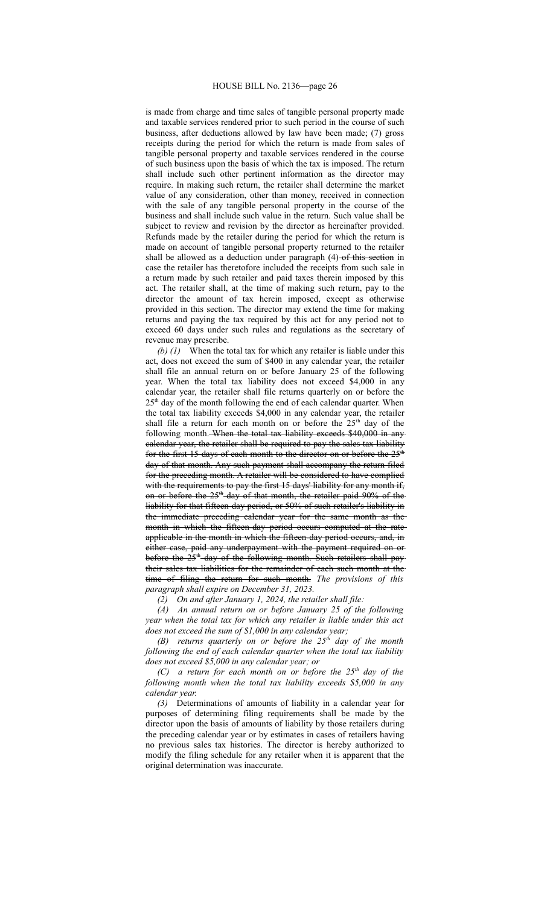## HOUSE BILL No. 2136—page 26

is made from charge and time sales of tangible personal property made and taxable services rendered prior to such period in the course of such business, after deductions allowed by law have been made; (7) gross receipts during the period for which the return is made from sales of tangible personal property and taxable services rendered in the course of such business upon the basis of which the tax is imposed. The return shall include such other pertinent information as the director may require. In making such return, the retailer shall determine the market value of any consideration, other than money, received in connection with the sale of any tangible personal property in the course of the business and shall include such value in the return. Such value shall be subject to review and revision by the director as hereinafter provided. Refunds made by the retailer during the period for which the return is made on account of tangible personal property returned to the retailer shall be allowed as a deduction under paragraph (4)-of this section in case the retailer has theretofore included the receipts from such sale in a return made by such retailer and paid taxes therein imposed by this act. The retailer shall, at the time of making such return, pay to the director the amount of tax herein imposed, except as otherwise provided in this section. The director may extend the time for making returns and paying the tax required by this act for any period not to exceed 60 days under such rules and regulations as the secretary of revenue may prescribe.

*(b) (1)* When the total tax for which any retailer is liable under this act, does not exceed the sum of \$400 in any calendar year, the retailer shall file an annual return on or before January 25 of the following year. When the total tax liability does not exceed \$4,000 in any calendar year, the retailer shall file returns quarterly on or before the  $25<sup>th</sup>$  day of the month following the end of each calendar quarter. When the total tax liability exceeds \$4,000 in any calendar year, the retailer shall file a return for each month on or before the  $25<sup>th</sup>$  day of the following month. When the total tax liability exceeds \$40,000 in any calendar year, the retailer shall be required to pay the sales tax liability for the first 15 days of each month to the director on or before the  $25<sup>th</sup>$ day of that month. Any such payment shall accompany the return filed for the preceding month. A retailer will be considered to have complied with the requirements to pay the first 15 days' liability for any month if, on or before the 25<sup>th</sup> day of that month, the retailer paid 90% of the liability for that fifteen-day period, or 50% of such retailer's liability in the immediate preceding calendar year for the same month as the month in which the fifteen-day period occurs computed at the rate applicable in the month in which the fifteen-day period occurs, and, in either case, paid any underpayment with the payment required on or before the 25<sup>th</sup> day of the following month. Such retailers shall paytheir sales tax liabilities for the remainder of each such month at the time of filing the return for such month. *The provisions of this paragraph shall expire on December 31, 2023.*

*(2) On and after January 1, 2024, the retailer shall file:*

*(A) An annual return on or before January 25 of the following year when the total tax for which any retailer is liable under this act does not exceed the sum of \$1,000 in any calendar year;*

*(B) returns quarterly on or before the 25th day of the month following the end of each calendar quarter when the total tax liability does not exceed \$5,000 in any calendar year; or*

*(C) a return for each month on or before the 25th day of the following month when the total tax liability exceeds \$5,000 in any calendar year.*

*(3)* Determinations of amounts of liability in a calendar year for purposes of determining filing requirements shall be made by the director upon the basis of amounts of liability by those retailers during the preceding calendar year or by estimates in cases of retailers having no previous sales tax histories. The director is hereby authorized to modify the filing schedule for any retailer when it is apparent that the original determination was inaccurate.